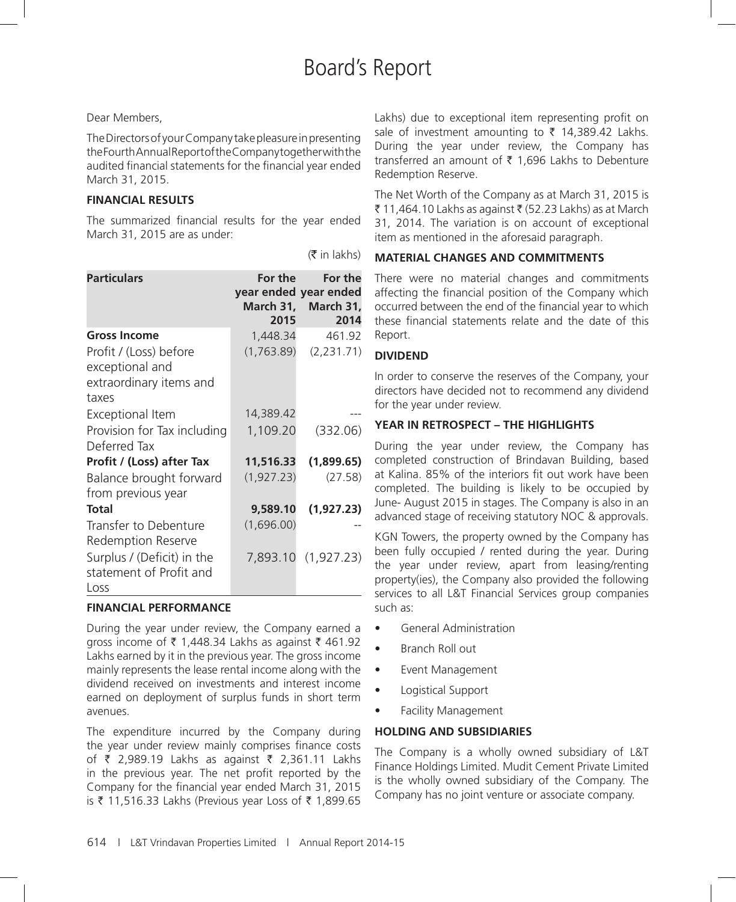# Board's Report

### Dear Members,

The Directors of your Company take pleasure in presenting the Fourth Annual Report of the Company together with the audited financial statements for the financial year ended March 31, 2015.

# **FINANCIAL RESULTS**

The summarized financial results for the year ended March 31, 2015 are as under:

 $(\bar{\bar{\tau}}$  in lakhs)

| <b>Particulars</b>                                                            | For the<br>year ended year ended<br>2015 | For the<br>March 31, March 31,<br>2014 |
|-------------------------------------------------------------------------------|------------------------------------------|----------------------------------------|
| <b>Gross Income</b>                                                           | 1,448.34                                 | 461.92                                 |
| Profit / (Loss) before<br>exceptional and<br>extraordinary items and<br>taxes | (1,763.89)                               | (2,231.71)                             |
| Exceptional Item                                                              | 14,389.42                                |                                        |
| Provision for Tax including<br>Deferred Tax                                   | 1,109.20                                 | (332.06)                               |
| Profit / (Loss) after Tax                                                     | 11,516.33                                | (1,899.65)                             |
| Balance brought forward<br>from previous year                                 | (1,927.23)                               | (27.58)                                |
| Total                                                                         | 9,589.10                                 | (1,927.23)                             |
| Transfer to Debenture<br><b>Redemption Reserve</b>                            | (1,696.00)                               |                                        |
| Surplus / (Deficit) in the<br>statement of Profit and<br>Loss                 |                                          | 7,893.10 (1,927.23)                    |

# **FINANCIAL PERFORMANCE**

During the year under review, the Company earned a gross income of ₹ 1,448.34 Lakhs as against ₹ 461.92 Lakhs earned by it in the previous year. The gross income mainly represents the lease rental income along with the dividend received on investments and interest income earned on deployment of surplus funds in short term avenues.

The expenditure incurred by the Company during the year under review mainly comprises finance costs of ₹ 2,989.19 Lakhs as against ₹ 2,361.11 Lakhs in the previous year. The net profit reported by the Company for the financial year ended March 31, 2015 is ₹ 11,516.33 Lakhs (Previous year Loss of ₹ 1,899.65

Lakhs) due to exceptional item representing profit on sale of investment amounting to  $\bar{\tau}$  14,389.42 Lakhs. During the year under review, the Company has transferred an amount of  $\bar{\tau}$  1,696 Lakhs to Debenture Redemption Reserve.

The Net Worth of the Company as at March 31, 2015 is  $\bar{\tau}$  11,464.10 Lakhs as against  $\bar{\tau}$  (52.23 Lakhs) as at March 31, 2014. The variation is on account of exceptional item as mentioned in the aforesaid paragraph.

# **MATERIAL CHANGES AND COMMITMENTS**

There were no material changes and commitments affecting the financial position of the Company which occurred between the end of the financial year to which these financial statements relate and the date of this Report.

# **DIVIDEND**

In order to conserve the reserves of the Company, your directors have decided not to recommend any dividend for the year under review.

### **YEAR IN RETROSPECT – THE HIGHLIGHTS**

During the year under review, the Company has completed construction of Brindavan Building, based at Kalina. 85% of the interiors fit out work have been completed. The building is likely to be occupied by June- August 2015 in stages. The Company is also in an advanced stage of receiving statutory NOC & approvals.

KGN Towers, the property owned by the Company has been fully occupied / rented during the year. During the year under review, apart from leasing/renting property(ies), the Company also provided the following services to all L&T Financial Services group companies such as:

- • General Administration
- Branch Roll out
- • Event Management
- Logistical Support
- **Facility Management**

# **HOLDING AND SUBSIDIARIES**

The Company is a wholly owned subsidiary of L&T Finance Holdings Limited. Mudit Cement Private Limited is the wholly owned subsidiary of the Company. The Company has no joint venture or associate company.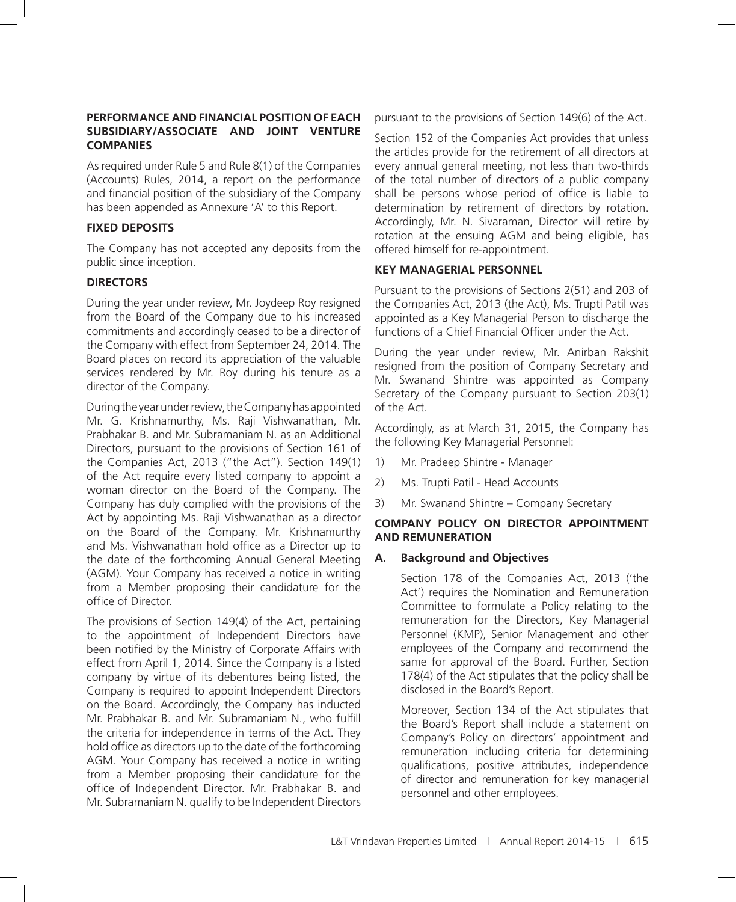#### **PERFORMANCE AND FINANCIAL POSITION OF EACH SUBSIDIARY/ASSOCIATE AND JOINT VENTURE COMPANIES**

As required under Rule 5 and Rule 8(1) of the Companies (Accounts) Rules, 2014, a report on the performance and financial position of the subsidiary of the Company has been appended as Annexure 'A' to this Report.

#### **FIXED DEPOSITS**

The Company has not accepted any deposits from the public since inception.

### **DIRECTORS**

During the year under review, Mr. Joydeep Roy resigned from the Board of the Company due to his increased commitments and accordingly ceased to be a director of the Company with effect from September 24, 2014. The Board places on record its appreciation of the valuable services rendered by Mr. Roy during his tenure as a director of the Company.

During the year under review, the Company has appointed Mr. G. Krishnamurthy, Ms. Raji Vishwanathan, Mr. Prabhakar B. and Mr. Subramaniam N. as an Additional Directors, pursuant to the provisions of Section 161 of the Companies Act, 2013 ("the Act"). Section 149(1) of the Act require every listed company to appoint a woman director on the Board of the Company. The Company has duly complied with the provisions of the Act by appointing Ms. Raji Vishwanathan as a director on the Board of the Company. Mr. Krishnamurthy and Ms. Vishwanathan hold office as a Director up to the date of the forthcoming Annual General Meeting (AGM). Your Company has received a notice in writing from a Member proposing their candidature for the office of Director.

The provisions of Section 149(4) of the Act, pertaining to the appointment of Independent Directors have been notified by the Ministry of Corporate Affairs with effect from April 1, 2014. Since the Company is a listed company by virtue of its debentures being listed, the Company is required to appoint Independent Directors on the Board. Accordingly, the Company has inducted Mr. Prabhakar B. and Mr. Subramaniam N., who fulfill the criteria for independence in terms of the Act. They hold office as directors up to the date of the forthcoming AGM. Your Company has received a notice in writing from a Member proposing their candidature for the office of Independent Director. Mr. Prabhakar B. and Mr. Subramaniam N. qualify to be Independent Directors pursuant to the provisions of Section 149(6) of the Act.

Section 152 of the Companies Act provides that unless the articles provide for the retirement of all directors at every annual general meeting, not less than two-thirds of the total number of directors of a public company shall be persons whose period of office is liable to determination by retirement of directors by rotation. Accordingly, Mr. N. Sivaraman, Director will retire by rotation at the ensuing AGM and being eligible, has offered himself for re-appointment.

#### **KEY MANAGERIAL PERSONNEL**

Pursuant to the provisions of Sections 2(51) and 203 of the Companies Act, 2013 (the Act), Ms. Trupti Patil was appointed as a Key Managerial Person to discharge the functions of a Chief Financial Officer under the Act.

During the year under review, Mr. Anirban Rakshit resigned from the position of Company Secretary and Mr. Swanand Shintre was appointed as Company Secretary of the Company pursuant to Section 203(1) of the Act.

Accordingly, as at March 31, 2015, the Company has the following Key Managerial Personnel:

- 1) Mr. Pradeep Shintre Manager
- 2) Ms. Trupti Patil Head Accounts
- 3) Mr. Swanand Shintre Company Secretary

# **COMPANY POLICY ON DIRECTOR APPOINTMENT AND REMUNERATION**

### **A. Background and Objectives**

Section 178 of the Companies Act, 2013 ('the Act') requires the Nomination and Remuneration Committee to formulate a Policy relating to the remuneration for the Directors, Key Managerial Personnel (KMP), Senior Management and other employees of the Company and recommend the same for approval of the Board. Further, Section 178(4) of the Act stipulates that the policy shall be disclosed in the Board's Report.

Moreover, Section 134 of the Act stipulates that the Board's Report shall include a statement on Company's Policy on directors' appointment and remuneration including criteria for determining qualifications, positive attributes, independence of director and remuneration for key managerial personnel and other employees.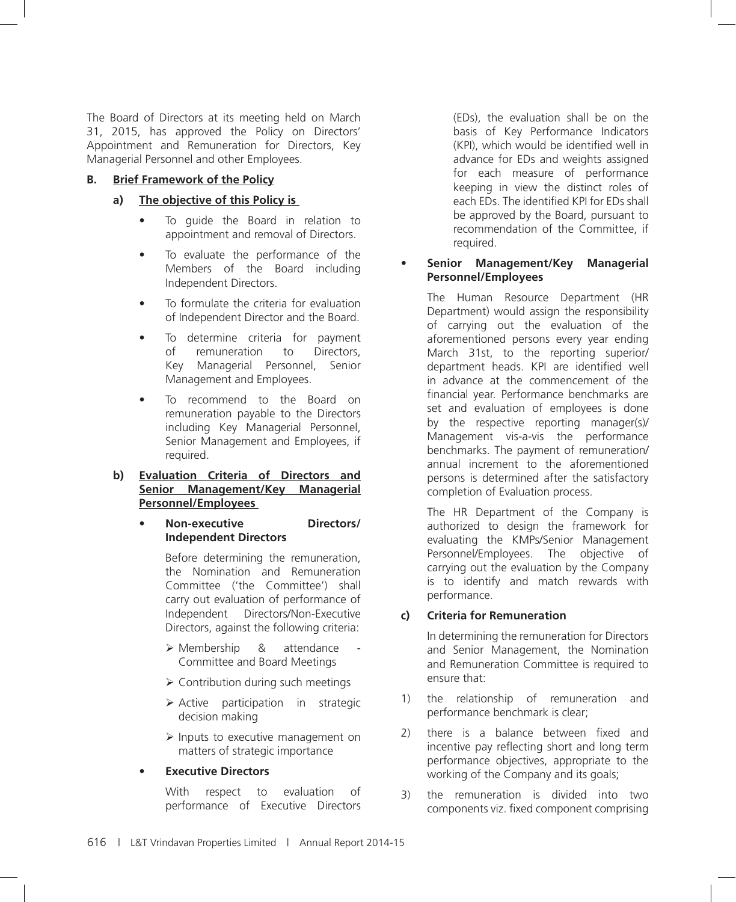The Board of Directors at its meeting held on March 31, 2015, has approved the Policy on Directors' Appointment and Remuneration for Directors, Key Managerial Personnel and other Employees.

### **B. Brief Framework of the Policy**

### **a) The objective of this Policy is**

- To guide the Board in relation to appointment and removal of Directors.
- To evaluate the performance of the Members of the Board including Independent Directors.
- To formulate the criteria for evaluation of Independent Director and the Board.
- To determine criteria for payment of remuneration to Directors, Key Managerial Personnel, Senior Management and Employees.
- To recommend to the Board on remuneration payable to the Directors including Key Managerial Personnel, Senior Management and Employees, if required.
- **b) Evaluation Criteria of Directors and Senior Management/Key Managerial Personnel/Employees**

### **Non-executive Directors/ Independent Directors**

 Before determining the remuneration, the Nomination and Remuneration Committee ('the Committee') shall carry out evaluation of performance of Independent Directors/Non-Executive Directors, against the following criteria:

- $\triangleright$  Membership & attendance Committee and Board Meetings
- $\triangleright$  Contribution during such meetings
- $\triangleright$  Active participation in strategic decision making
- $\triangleright$  Inputs to executive management on matters of strategic importance

### **Executive Directors**

 With respect to evaluation of performance of Executive Directors (EDs), the evaluation shall be on the basis of Key Performance Indicators (KPI), which would be identified well in advance for EDs and weights assigned for each measure of performance keeping in view the distinct roles of each EDs. The identified KPI for EDs shall be approved by the Board, pursuant to recommendation of the Committee, if required.

#### **Senior Management/Key Managerial Personnel/Employees**

 The Human Resource Department (HR Department) would assign the responsibility of carrying out the evaluation of the aforementioned persons every year ending March 31st, to the reporting superior/ department heads. KPI are identified well in advance at the commencement of the financial year. Performance benchmarks are set and evaluation of employees is done by the respective reporting manager(s)/ Management vis-a-vis the performance benchmarks. The payment of remuneration/ annual increment to the aforementioned persons is determined after the satisfactory completion of Evaluation process.

 The HR Department of the Company is authorized to design the framework for evaluating the KMPs/Senior Management Personnel/Employees. The objective of carrying out the evaluation by the Company is to identify and match rewards with performance.

# **c) Criteria for Remuneration**

 In determining the remuneration for Directors and Senior Management, the Nomination and Remuneration Committee is required to ensure that:

- 1) the relationship of remuneration and performance benchmark is clear;
- 2) there is a balance between fixed and incentive pay reflecting short and long term performance objectives, appropriate to the working of the Company and its goals;
- 3) the remuneration is divided into two components viz. fixed component comprising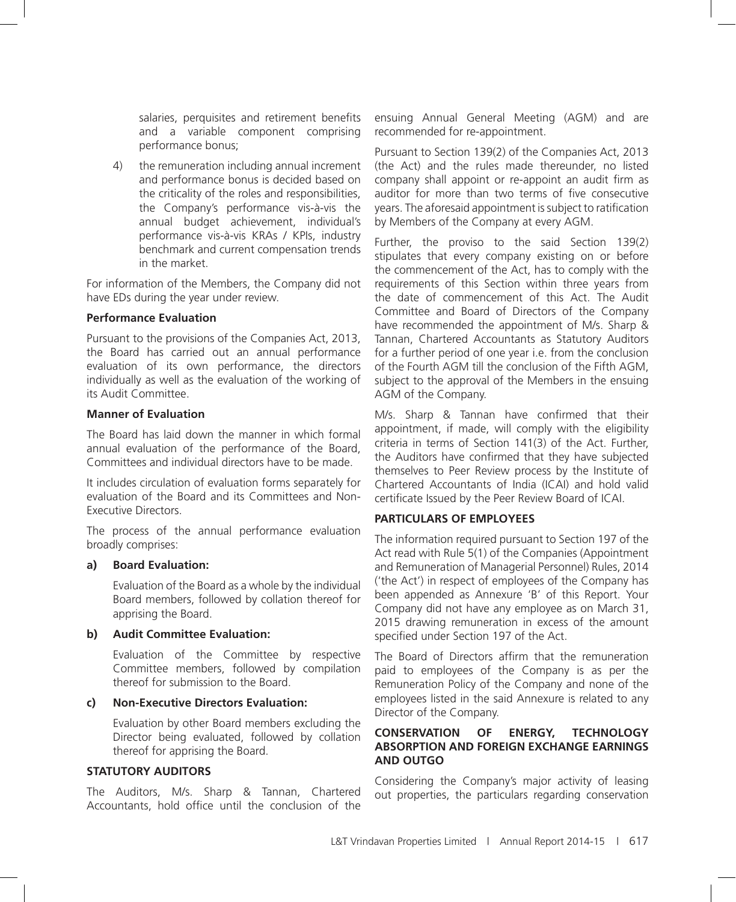salaries, perquisites and retirement benefits and a variable component comprising performance bonus;

4) the remuneration including annual increment and performance bonus is decided based on the criticality of the roles and responsibilities, the Company's performance vis-à-vis the annual budget achievement, individual's performance vis-à-vis KRAs / KPIs, industry benchmark and current compensation trends in the market.

For information of the Members, the Company did not have EDs during the year under review.

#### **Performance Evaluation**

Pursuant to the provisions of the Companies Act, 2013, the Board has carried out an annual performance evaluation of its own performance, the directors individually as well as the evaluation of the working of its Audit Committee.

#### **Manner of Evaluation**

The Board has laid down the manner in which formal annual evaluation of the performance of the Board, Committees and individual directors have to be made.

It includes circulation of evaluation forms separately for evaluation of the Board and its Committees and Non-Executive Directors.

The process of the annual performance evaluation broadly comprises:

#### **a) Board Evaluation:**

 Evaluation of the Board as a whole by the individual Board members, followed by collation thereof for apprising the Board.

#### **b) Audit Committee Evaluation:**

 Evaluation of the Committee by respective Committee members, followed by compilation thereof for submission to the Board.

### **c) Non-Executive Directors Evaluation:**

 Evaluation by other Board members excluding the Director being evaluated, followed by collation thereof for apprising the Board.

### **STATUTORY AUDITORS**

The Auditors, M/s. Sharp & Tannan, Chartered Accountants, hold office until the conclusion of the

ensuing Annual General Meeting (AGM) and are recommended for re-appointment.

Pursuant to Section 139(2) of the Companies Act, 2013 (the Act) and the rules made thereunder, no listed company shall appoint or re-appoint an audit firm as auditor for more than two terms of five consecutive years. The aforesaid appointment is subject to ratification by Members of the Company at every AGM.

Further, the proviso to the said Section 139(2) stipulates that every company existing on or before the commencement of the Act, has to comply with the requirements of this Section within three years from the date of commencement of this Act. The Audit Committee and Board of Directors of the Company have recommended the appointment of M/s. Sharp & Tannan, Chartered Accountants as Statutory Auditors for a further period of one year i.e. from the conclusion of the Fourth AGM till the conclusion of the Fifth AGM, subject to the approval of the Members in the ensuing AGM of the Company.

M/s. Sharp & Tannan have confirmed that their appointment, if made, will comply with the eligibility criteria in terms of Section 141(3) of the Act. Further, the Auditors have confirmed that they have subjected themselves to Peer Review process by the Institute of Chartered Accountants of India (ICAI) and hold valid certificate Issued by the Peer Review Board of ICAI.

### **PARTICULARS OF EMPLOYEES**

The information required pursuant to Section 197 of the Act read with Rule 5(1) of the Companies (Appointment and Remuneration of Managerial Personnel) Rules, 2014 ('the Act') in respect of employees of the Company has been appended as Annexure 'B' of this Report. Your Company did not have any employee as on March 31, 2015 drawing remuneration in excess of the amount specified under Section 197 of the Act.

The Board of Directors affirm that the remuneration paid to employees of the Company is as per the Remuneration Policy of the Company and none of the employees listed in the said Annexure is related to any Director of the Company.

#### **CONSERVATION OF ENERGY, TECHNOLOGY ABSORPTION AND FOREIGN EXCHANGE EARNINGS AND OUTGO**

Considering the Company's major activity of leasing out properties, the particulars regarding conservation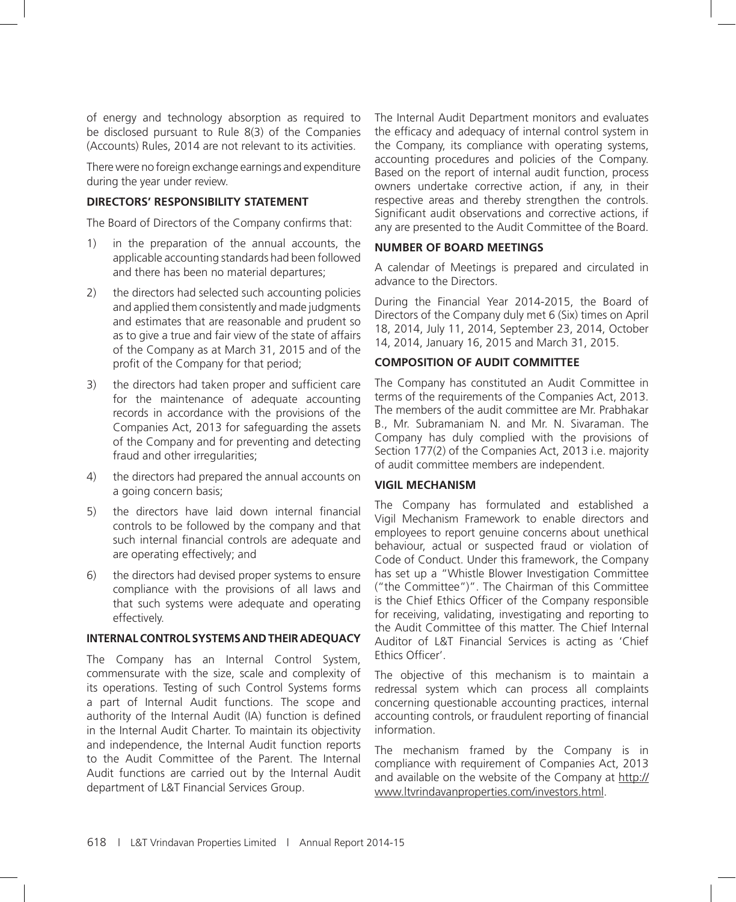of energy and technology absorption as required to be disclosed pursuant to Rule 8(3) of the Companies (Accounts) Rules, 2014 are not relevant to its activities.

There were no foreign exchange earnings and expenditure during the year under review.

### **DIRECTORS' RESPONSIBILITY STATEMENT**

The Board of Directors of the Company confirms that:

- 1) in the preparation of the annual accounts, the applicable accounting standards had been followed and there has been no material departures;
- 2) the directors had selected such accounting policies and applied them consistently and made judgments and estimates that are reasonable and prudent so as to give a true and fair view of the state of affairs of the Company as at March 31, 2015 and of the profit of the Company for that period;
- 3) the directors had taken proper and sufficient care for the maintenance of adequate accounting records in accordance with the provisions of the Companies Act, 2013 for safeguarding the assets of the Company and for preventing and detecting fraud and other irregularities;
- 4) the directors had prepared the annual accounts on a going concern basis;
- 5) the directors have laid down internal financial controls to be followed by the company and that such internal financial controls are adequate and are operating effectively; and
- 6) the directors had devised proper systems to ensure compliance with the provisions of all laws and that such systems were adequate and operating effectively.

#### **INTERNAL CONTROL SYSTEMS AND THEIR ADEQUACY**

The Company has an Internal Control System, commensurate with the size, scale and complexity of its operations. Testing of such Control Systems forms a part of Internal Audit functions. The scope and authority of the Internal Audit (IA) function is defined in the Internal Audit Charter. To maintain its objectivity and independence, the Internal Audit function reports to the Audit Committee of the Parent. The Internal Audit functions are carried out by the Internal Audit department of L&T Financial Services Group.

The Internal Audit Department monitors and evaluates the efficacy and adequacy of internal control system in the Company, its compliance with operating systems, accounting procedures and policies of the Company. Based on the report of internal audit function, process owners undertake corrective action, if any, in their respective areas and thereby strengthen the controls. Significant audit observations and corrective actions, if any are presented to the Audit Committee of the Board.

#### **NUMBER OF BOARD MEETINGS**

A calendar of Meetings is prepared and circulated in advance to the Directors.

During the Financial Year 2014-2015, the Board of Directors of the Company duly met 6 (Six) times on April 18, 2014, July 11, 2014, September 23, 2014, October 14, 2014, January 16, 2015 and March 31, 2015.

# **COMPOSITION OF AUDIT COMMITTEE**

The Company has constituted an Audit Committee in terms of the requirements of the Companies Act, 2013. The members of the audit committee are Mr. Prabhakar B., Mr. Subramaniam N. and Mr. N. Sivaraman. The Company has duly complied with the provisions of Section 177(2) of the Companies Act, 2013 i.e. majority of audit committee members are independent.

#### **VIGIL MECHANISM**

The Company has formulated and established a Vigil Mechanism Framework to enable directors and employees to report genuine concerns about unethical behaviour, actual or suspected fraud or violation of Code of Conduct. Under this framework, the Company has set up a "Whistle Blower Investigation Committee ("the Committee")". The Chairman of this Committee is the Chief Ethics Officer of the Company responsible for receiving, validating, investigating and reporting to the Audit Committee of this matter. The Chief Internal Auditor of L&T Financial Services is acting as 'Chief Ethics Officer'.

The objective of this mechanism is to maintain a redressal system which can process all complaints concerning questionable accounting practices, internal accounting controls, or fraudulent reporting of financial information.

The mechanism framed by the Company is in compliance with requirement of Companies Act, 2013 and available on the website of the Company at http:// www.ltvrindavanproperties.com/investors.html.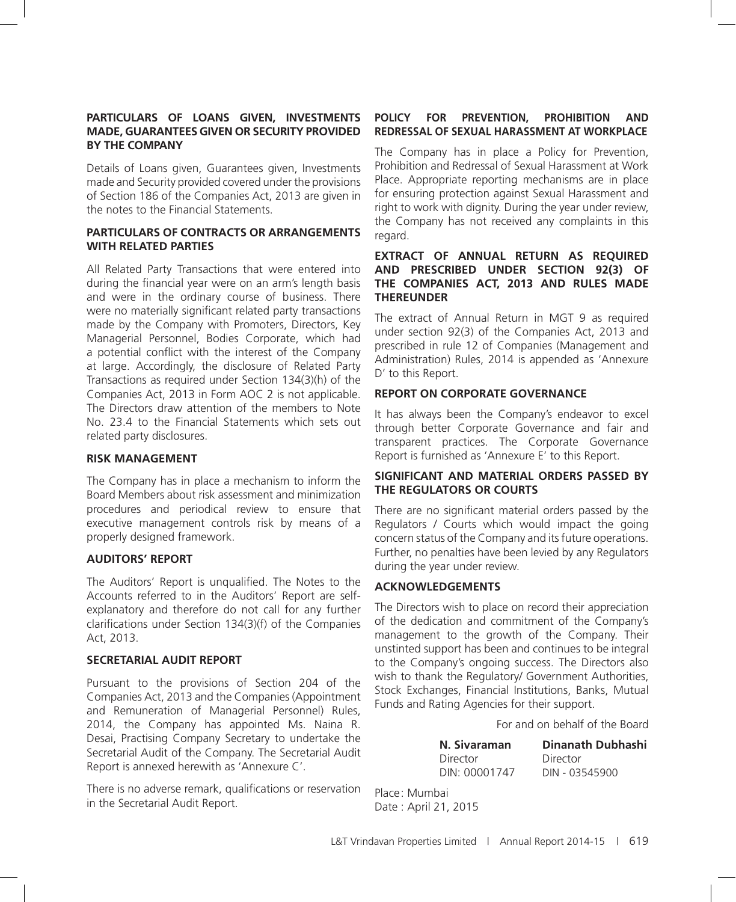#### **PARTICULARS OF LOANS GIVEN, INVESTMENTS MADE, GUARANTEES GIVEN OR SECURITY PROVIDED BY THE COMPANY**

Details of Loans given, Guarantees given, Investments made and Security provided covered under the provisions of Section 186 of the Companies Act, 2013 are given in the notes to the Financial Statements.

#### **PARTICULARS OF CONTRACTS OR ARRANGEMENTS WITH RELATED PARTIES**

All Related Party Transactions that were entered into during the financial year were on an arm's length basis and were in the ordinary course of business. There were no materially significant related party transactions made by the Company with Promoters, Directors, Key Managerial Personnel, Bodies Corporate, which had a potential conflict with the interest of the Company at large. Accordingly, the disclosure of Related Party Transactions as required under Section 134(3)(h) of the Companies Act, 2013 in Form AOC 2 is not applicable. The Directors draw attention of the members to Note No. 23.4 to the Financial Statements which sets out related party disclosures.

#### **RISK MANAGEMENT**

The Company has in place a mechanism to inform the Board Members about risk assessment and minimization procedures and periodical review to ensure that executive management controls risk by means of a properly designed framework.

#### **AUDITORS' REPORT**

The Auditors' Report is unqualified. The Notes to the Accounts referred to in the Auditors' Report are selfexplanatory and therefore do not call for any further clarifications under Section 134(3)(f) of the Companies Act, 2013.

### **SECRETARIAL AUDIT REPORT**

Pursuant to the provisions of Section 204 of the Companies Act, 2013 and the Companies (Appointment and Remuneration of Managerial Personnel) Rules, 2014, the Company has appointed Ms. Naina R. Desai, Practising Company Secretary to undertake the Secretarial Audit of the Company. The Secretarial Audit Report is annexed herewith as 'Annexure C'.

There is no adverse remark, qualifications or reservation in the Secretarial Audit Report.

### **POLICY FOR PREVENTION, PROHIBITION AND REDRESSAL OF SEXUAL HARASSMENT AT WORKPLACE**

The Company has in place a Policy for Prevention, Prohibition and Redressal of Sexual Harassment at Work Place. Appropriate reporting mechanisms are in place for ensuring protection against Sexual Harassment and right to work with dignity. During the year under review, the Company has not received any complaints in this regard.

#### **EXTRACT OF ANNUAL RETURN AS REQUIRED AND PRESCRIBED UNDER SECTION 92(3) OF THE COMPANIES ACT, 2013 AND RULES MADE THEREUNDER**

The extract of Annual Return in MGT 9 as required under section 92(3) of the Companies Act, 2013 and prescribed in rule 12 of Companies (Management and Administration) Rules, 2014 is appended as 'Annexure D' to this Report.

### **REPORT ON CORPORATE GOVERNANCE**

It has always been the Company's endeavor to excel through better Corporate Governance and fair and transparent practices. The Corporate Governance Report is furnished as 'Annexure E' to this Report.

#### **SIGNIFICANT AND MATERIAL ORDERS PASSED BY THE REGULATORS OR COURTS**

There are no significant material orders passed by the Regulators / Courts which would impact the going concern status of the Company and its future operations. Further, no penalties have been levied by any Regulators during the year under review.

### **ACKNOWLEDGEMENTS**

The Directors wish to place on record their appreciation of the dedication and commitment of the Company's management to the growth of the Company. Their unstinted support has been and continues to be integral to the Company's ongoing success. The Directors also wish to thank the Regulatory/ Government Authorities, Stock Exchanges, Financial Institutions, Banks, Mutual Funds and Rating Agencies for their support.

For and on behalf of the Board

| N. Sivaraman  | <b>Dinanath Dubhashi</b> |
|---------------|--------------------------|
| Director      | Director                 |
| DIN: 00001747 | DIN - 03545900           |

Place: Mumbai Date : April 21, 2015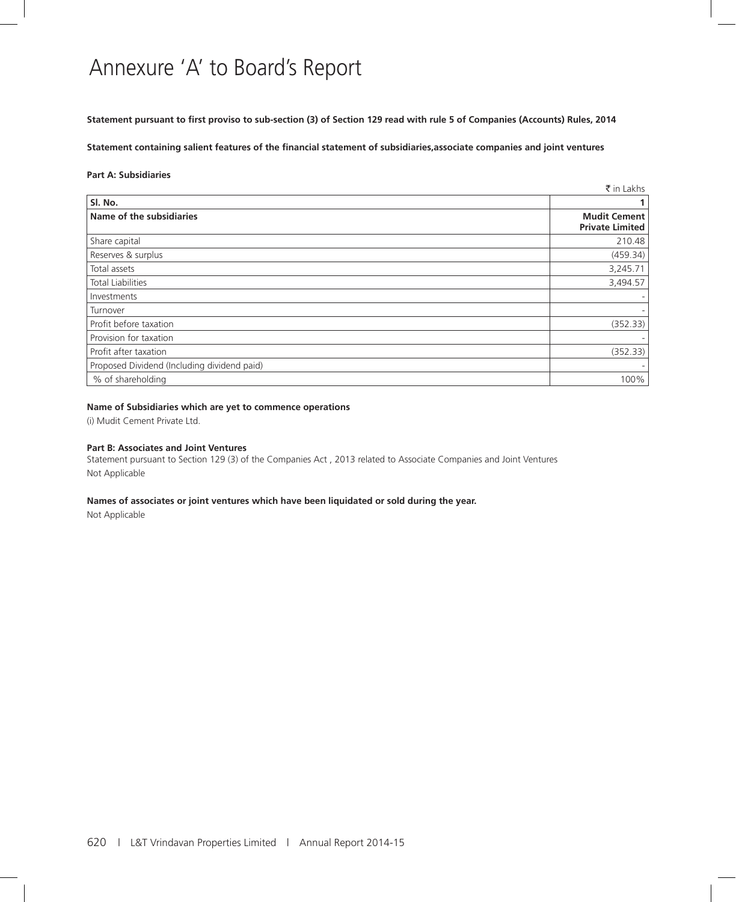# Annexure 'A' to Board's Report

**Statement pursuant to first proviso to sub-section (3) of Section 129 read with rule 5 of Companies (Accounts) Rules, 2014**

**Statement containing salient features of the financial statement of subsidiaries,associate companies and joint ventures**

#### **Part A: Subsidiaries**

|                                             | ₹ in Lakhs                                    |
|---------------------------------------------|-----------------------------------------------|
| Sl. No.                                     |                                               |
| Name of the subsidiaries                    | <b>Mudit Cement</b><br><b>Private Limited</b> |
| Share capital                               | 210.48                                        |
| Reserves & surplus                          | (459.34)                                      |
| Total assets                                | 3,245.71                                      |
| <b>Total Liabilities</b>                    | 3,494.57                                      |
| Investments                                 |                                               |
| Turnover                                    |                                               |
| Profit before taxation                      | (352.33)                                      |
| Provision for taxation                      |                                               |
| Profit after taxation                       | (352.33)                                      |
| Proposed Dividend (Including dividend paid) |                                               |
| % of shareholding                           | 100%                                          |

#### **Name of Subsidiaries which are yet to commence operations**

(i) Mudit Cement Private Ltd.

#### **Part B: Associates and Joint Ventures**

Statement pursuant to Section 129 (3) of the Companies Act , 2013 related to Associate Companies and Joint Ventures Not Applicable

#### **Names of associates or joint ventures which have been liquidated or sold during the year.**

Not Applicable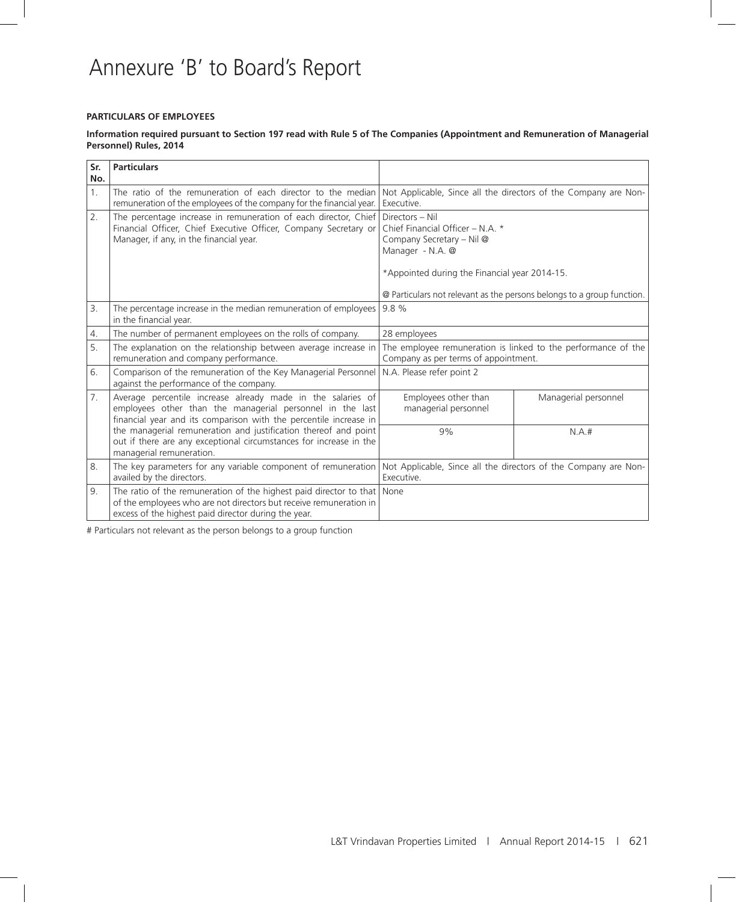# Annexure 'B' to Board's Report

#### **PARTICULARS OF EMPLOYEES**

#### **Information required pursuant to Section 197 read with Rule 5 of The Companies (Appointment and Remuneration of Managerial Personnel) Rules, 2014**

| Sr.<br>No.     | <b>Particulars</b>                                                                                                                                                                                      |                                                                                                                                                       |                      |  |
|----------------|---------------------------------------------------------------------------------------------------------------------------------------------------------------------------------------------------------|-------------------------------------------------------------------------------------------------------------------------------------------------------|----------------------|--|
| 1 <sub>1</sub> | The ratio of the remuneration of each director to the median<br>remuneration of the employees of the company for the financial year.                                                                    | Not Applicable, Since all the directors of the Company are Non-<br>Executive.                                                                         |                      |  |
| 2.             | The percentage increase in remuneration of each director, Chief<br>Financial Officer, Chief Executive Officer, Company Secretary or<br>Manager, if any, in the financial year.                          | Directors - Nil<br>Chief Financial Officer - N.A. *<br>Company Secretary - Nil @<br>Manager - N.A. @<br>*Appointed during the Financial year 2014-15. |                      |  |
|                |                                                                                                                                                                                                         | @ Particulars not relevant as the persons belongs to a group function.                                                                                |                      |  |
| 3.             | The percentage increase in the median remuneration of employees  <br>in the financial year.                                                                                                             | 9.8%                                                                                                                                                  |                      |  |
| 4.             | The number of permanent employees on the rolls of company.                                                                                                                                              | 28 employees                                                                                                                                          |                      |  |
| 5.             | The explanation on the relationship between average increase in<br>remuneration and company performance.                                                                                                | The employee remuneration is linked to the performance of the<br>Company as per terms of appointment.                                                 |                      |  |
| 6.             | Comparison of the remuneration of the Key Managerial Personnel<br>against the performance of the company.                                                                                               | N.A. Please refer point 2                                                                                                                             |                      |  |
| 7.             | Average percentile increase already made in the salaries of<br>employees other than the managerial personnel in the last<br>financial year and its comparison with the percentile increase in           | Employees other than<br>managerial personnel                                                                                                          | Managerial personnel |  |
|                | the managerial remuneration and justification thereof and point<br>out if there are any exceptional circumstances for increase in the<br>managerial remuneration.                                       | 9%                                                                                                                                                    | N.A.#                |  |
| 8.             | The key parameters for any variable component of remuneration<br>availed by the directors.                                                                                                              | Not Applicable, Since all the directors of the Company are Non-<br>Executive.                                                                         |                      |  |
| 9.             | The ratio of the remuneration of the highest paid director to that   None<br>of the employees who are not directors but receive remuneration in<br>excess of the highest paid director during the year. |                                                                                                                                                       |                      |  |

# Particulars not relevant as the person belongs to a group function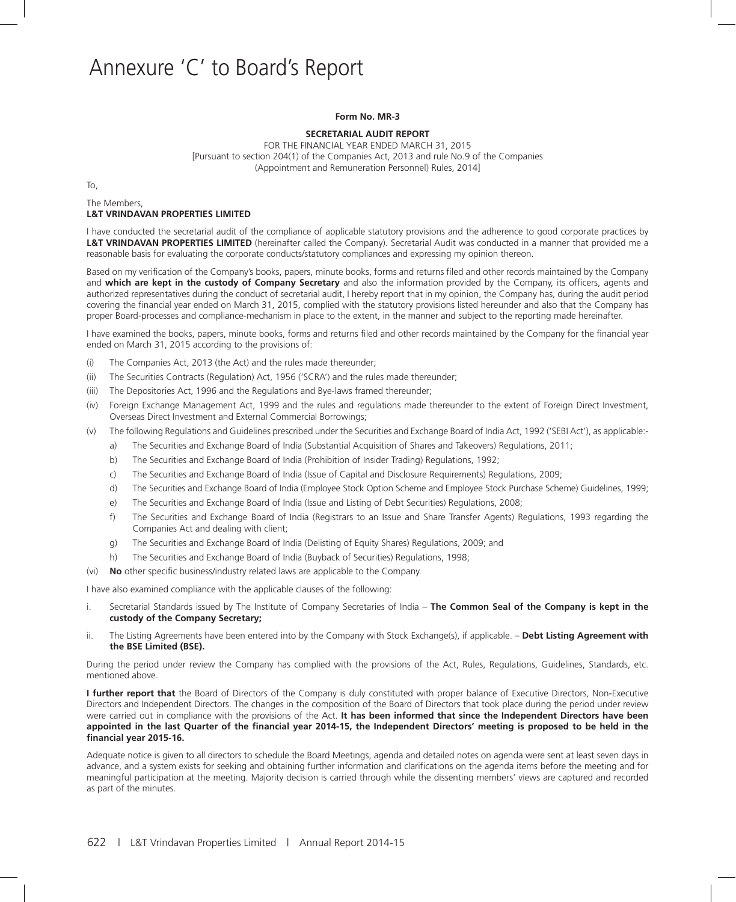# Annexure 'C' to Board's Report

#### **Form No. MR-3**

#### **SECRETARIAL AUDIT REPORT**

FOR THE FINANCIAL YEAR ENDED MARCH 31, 2015 [Pursuant to section 204(1) of the Companies Act, 2013 and rule No.9 of the Companies (Appointment and Remuneration Personnel) Rules, 2014]

To,

The Members,

#### **L&T VRINDAVAN PROPERTIES LIMITED**

I have conducted the secretarial audit of the compliance of applicable statutory provisions and the adherence to good corporate practices by **L&T VRINDAVAN PROPERTIES LIMITED** (hereinafter called the Company). Secretarial Audit was conducted in a manner that provided me a reasonable basis for evaluating the corporate conducts/statutory compliances and expressing my opinion thereon.

Based on my verification of the Company's books, papers, minute books, forms and returns filed and other records maintained by the Company and **which are kept in the custody of Company Secretary** and also the information provided by the Company, its officers, agents and authorized representatives during the conduct of secretarial audit, I hereby report that in my opinion, the Company has, during the audit period covering the financial year ended on March 31, 2015, complied with the statutory provisions listed hereunder and also that the Company has proper Board-processes and compliance-mechanism in place to the extent, in the manner and subject to the reporting made hereinafter.

I have examined the books, papers, minute books, forms and returns filed and other records maintained by the Company for the financial year ended on March 31, 2015 according to the provisions of:

- (i) The Companies Act, 2013 (the Act) and the rules made thereunder;
- (ii) The Securities Contracts (Regulation) Act, 1956 ('SCRA') and the rules made thereunder;
- (iii) The Depositories Act, 1996 and the Regulations and Bye-laws framed thereunder;
- (iv) Foreign Exchange Management Act, 1999 and the rules and regulations made thereunder to the extent of Foreign Direct Investment, Overseas Direct Investment and External Commercial Borrowings;
- (v) The following Regulations and Guidelines prescribed under the Securities and Exchange Board of India Act, 1992 ('SEBI Act'), as applicable:
	- a) The Securities and Exchange Board of India (Substantial Acquisition of Shares and Takeovers) Regulations, 2011;
	- b) The Securities and Exchange Board of India (Prohibition of Insider Trading) Regulations, 1992;
	- c) The Securities and Exchange Board of India (Issue of Capital and Disclosure Requirements) Regulations, 2009;
	- d) The Securities and Exchange Board of India (Employee Stock Option Scheme and Employee Stock Purchase Scheme) Guidelines, 1999;
	- e) The Securities and Exchange Board of India (Issue and Listing of Debt Securities) Regulations, 2008;
	- f) The Securities and Exchange Board of India (Registrars to an Issue and Share Transfer Agents) Regulations, 1993 regarding the Companies Act and dealing with client;
	- g) The Securities and Exchange Board of India (Delisting of Equity Shares) Regulations, 2009; and
	- h) The Securities and Exchange Board of India (Buyback of Securities) Regulations, 1998;
- (vi) **No** other specific business/industry related laws are applicable to the Company.

I have also examined compliance with the applicable clauses of the following:

- i. Secretarial Standards issued by The Institute of Company Secretaries of India **The Common Seal of the Company is kept in the custody of the Company Secretary;**
- ii. The Listing Agreements have been entered into by the Company with Stock Exchange(s), if applicable. **Debt Listing Agreement with the BSE Limited (BSE).**

During the period under review the Company has complied with the provisions of the Act, Rules, Regulations, Guidelines, Standards, etc. mentioned above.

**I further report that** the Board of Directors of the Company is duly constituted with proper balance of Executive Directors, Non-Executive Directors and Independent Directors. The changes in the composition of the Board of Directors that took place during the period under review were carried out in compliance with the provisions of the Act. **It has been informed that since the Independent Directors have been appointed in the last Quarter of the financial year 2014-15, the Independent Directors' meeting is proposed to be held in the financial year 2015-16.**

Adequate notice is given to all directors to schedule the Board Meetings, agenda and detailed notes on agenda were sent at least seven days in advance, and a system exists for seeking and obtaining further information and clarifications on the agenda items before the meeting and for meaningful participation at the meeting. Majority decision is carried through while the dissenting members' views are captured and recorded as part of the minutes.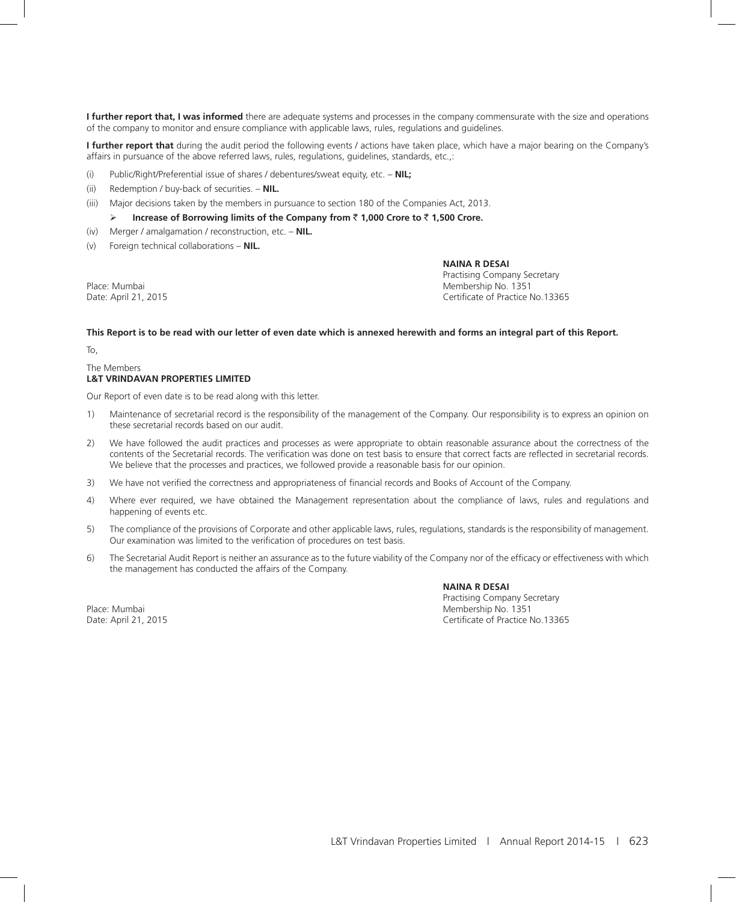**I further report that, I was informed** there are adequate systems and processes in the company commensurate with the size and operations of the company to monitor and ensure compliance with applicable laws, rules, regulations and guidelines.

**I further report that** during the audit period the following events / actions have taken place, which have a major bearing on the Company's affairs in pursuance of the above referred laws, rules, regulations, guidelines, standards, etc.,:

- (i) Public/Right/Preferential issue of shares / debentures/sweat equity, etc. **NIL;**
- (ii) Redemption / buy-back of securities. **NIL.**
- (iii) Major decisions taken by the members in pursuance to section 180 of the Companies Act, 2013.
	- **Increase of Borrowing limits of the Company from** ` **1,000 Crore to** ` **1,500 Crore.**
- (iv) Merger / amalgamation / reconstruction, etc. **NIL.**
- (v) Foreign technical collaborations **NIL.**

 **NAINA R DESAI**

 Practising Company Secretary Place: Mumbai Membership No. 1351 Date: April 21, 2015 Certificate of Practice No.13365

#### **This Report is to be read with our letter of even date which is annexed herewith and forms an integral part of this Report.**

To,

#### The Members

#### **L&T VRINDAVAN PROPERTIES LIMITED**

Our Report of even date is to be read along with this letter.

- 1) Maintenance of secretarial record is the responsibility of the management of the Company. Our responsibility is to express an opinion on these secretarial records based on our audit.
- 2) We have followed the audit practices and processes as were appropriate to obtain reasonable assurance about the correctness of the contents of the Secretarial records. The verification was done on test basis to ensure that correct facts are reflected in secretarial records. We believe that the processes and practices, we followed provide a reasonable basis for our opinion.
- 3) We have not verified the correctness and appropriateness of financial records and Books of Account of the Company.
- 4) Where ever required, we have obtained the Management representation about the compliance of laws, rules and regulations and happening of events etc.
- 5) The compliance of the provisions of Corporate and other applicable laws, rules, regulations, standards is the responsibility of management. Our examination was limited to the verification of procedures on test basis.
- 6) The Secretarial Audit Report is neither an assurance as to the future viability of the Company nor of the efficacy or effectiveness with which the management has conducted the affairs of the Company.

 **NAINA R DESAI** Practising Company Secretary Place: Mumbai No. 1351<br>
Pate: April 21, 2015<br>
Oate: April 21, 2015 Certificate of Practice No.13365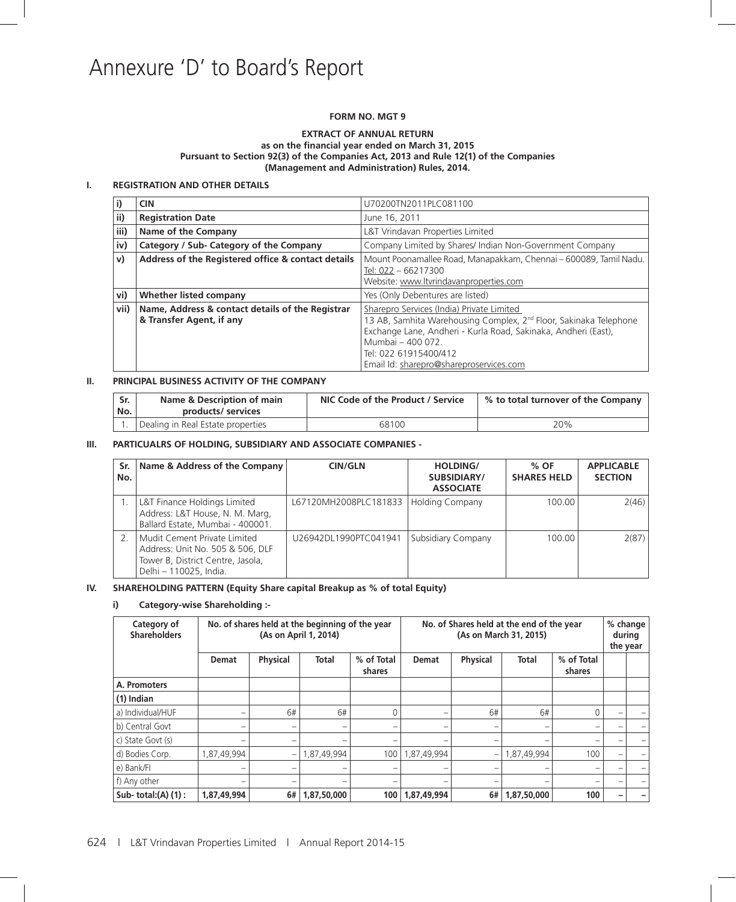# Annexure 'D' to Board's Report

#### **FORM NO. MGT 9**

#### **EXTRACT OF ANNUAL RETURN as on the financial year ended on March 31, 2015 Pursuant to Section 92(3) of the Companies Act, 2013 and Rule 12(1) of the Companies (Management and Administration) Rules, 2014.**

#### **I. REGISTRATION AND OTHER DETAILS**

| I)           | <b>CIN</b>                                                                                          | U70200TN2011PLC081100                                                                                                                                                                                                                                                                 |  |  |
|--------------|-----------------------------------------------------------------------------------------------------|---------------------------------------------------------------------------------------------------------------------------------------------------------------------------------------------------------------------------------------------------------------------------------------|--|--|
| ii)          | <b>Registration Date</b>                                                                            | June 16, 2011                                                                                                                                                                                                                                                                         |  |  |
| iii)         | Name of the Company                                                                                 | L&T Vrindavan Properties Limited                                                                                                                                                                                                                                                      |  |  |
| iv)          | Category / Sub- Category of the Company<br>Company Limited by Shares/ Indian Non-Government Company |                                                                                                                                                                                                                                                                                       |  |  |
| $\mathsf{v}$ | Address of the Registered office & contact details                                                  | Mount Poonamallee Road, Manapakkam, Chennai - 600089, Tamil Nadu.<br>Tel: 022 - 66217300<br>Website: www.ltvrindavanproperties.com                                                                                                                                                    |  |  |
| vi)          | Whether listed company                                                                              | Yes (Only Debentures are listed)                                                                                                                                                                                                                                                      |  |  |
| vii)         | Name, Address & contact details of the Registrar<br>& Transfer Agent, if any                        | Sharepro Services (India) Private Limited<br>13 AB, Samhita Warehousing Complex, 2 <sup>nd</sup> Floor, Sakinaka Telephone<br>Exchange Lane, Andheri - Kurla Road, Sakinaka, Andheri (East),<br>Mumbai - 400 072.<br>Tel: 022 61915400/412<br>Email Id: sharepro@shareproservices.com |  |  |

#### **II. PRINCIPAL BUSINESS ACTIVITY OF THE COMPANY**

| Sr.<br>'No. | Name & Description of main<br>products/ services | NIC Code of the Product / Service | % to total turnover of the Company |  |
|-------------|--------------------------------------------------|-----------------------------------|------------------------------------|--|
|             | Dealing in Real Estate properties                | 68100                             | 20%                                |  |

#### **III. PARTICUALRS OF HOLDING, SUBSIDIARY AND ASSOCIATE COMPANIES -**

| Sr.<br>No. | Name & Address of the Company                                                                                                   | <b>CIN/GLN</b>        | <b>HOLDING/</b><br>SUBSIDIARY/<br><b>ASSOCIATE</b> | % OF<br><b>SHARES HELD</b> | <b>APPLICABLE</b><br><b>SECTION</b> |
|------------|---------------------------------------------------------------------------------------------------------------------------------|-----------------------|----------------------------------------------------|----------------------------|-------------------------------------|
|            | L&T Finance Holdings Limited<br>Address: L&T House, N. M. Marg,<br>Ballard Estate, Mumbai - 400001.                             | L67120MH2008PLC181833 | <b>Holding Company</b>                             | 100.00                     | 2(46)                               |
|            | Mudit Cement Private Limited<br>Address: Unit No. 505 & 506, DLF<br>Tower B, District Centre, Jasola,<br>Delhi - 110025, India. | U26942DL1990PTC041941 | Subsidiary Company                                 | 100.00                     | 2(87)                               |

#### **IV. SHAREHOLDING PATTERN (Equity Share capital Breakup as % of total Equity)**

#### **i) Category-wise Shareholding :-**

| Category of<br><b>Shareholders</b> |              | No. of shares held at the beginning of the year<br>(As on April 1, 2014) |                          |                          | No. of Shares held at the end of the year<br>(As on March 31, 2015) |                          |                          |                      | the year | % change<br>during |
|------------------------------------|--------------|--------------------------------------------------------------------------|--------------------------|--------------------------|---------------------------------------------------------------------|--------------------------|--------------------------|----------------------|----------|--------------------|
|                                    | <b>Demat</b> | <b>Physical</b>                                                          | Total                    | % of Total<br>shares     | <b>Demat</b>                                                        | <b>Physical</b>          | <b>Total</b>             | % of Total<br>shares |          |                    |
| A. Promoters                       |              |                                                                          |                          |                          |                                                                     |                          |                          |                      |          |                    |
| (1) Indian                         |              |                                                                          |                          |                          |                                                                     |                          |                          |                      |          |                    |
| a) Individual/HUF                  | -            | 6#                                                                       | 6#                       |                          | $\overline{\phantom{0}}$                                            | 6#                       | 6#                       | U                    |          |                    |
| b) Central Govt                    | -            | -                                                                        | $\overline{\phantom{0}}$ | $\overline{\phantom{0}}$ | $\overline{\phantom{0}}$                                            | $\overline{\phantom{0}}$ | $\overline{\phantom{0}}$ |                      |          |                    |
| c) State Govt (s)                  | -            |                                                                          | $\overline{\phantom{0}}$ |                          | $\overline{\phantom{0}}$                                            |                          |                          |                      |          |                    |
| d) Bodies Corp.                    | 1,87,49,994  | $\overline{\phantom{0}}$                                                 | 1,87,49,994              | 100                      | 1,87,49,994                                                         | $\overline{\phantom{0}}$ | 1,87,49,994              | 100                  |          |                    |
| e) Bank/Fl                         | -            |                                                                          | -                        | -                        | $\overline{\phantom{0}}$                                            |                          |                          |                      |          |                    |
| f) Any other                       | -            | -                                                                        | $\overline{\phantom{0}}$ | $\overline{\phantom{0}}$ | $\overline{\phantom{m}}$                                            | $\overline{\phantom{0}}$ | $\overline{\phantom{0}}$ |                      |          |                    |
| Sub-total: $(A)$ $(1)$ :           | 1,87,49,994  | 6#                                                                       | 1,87,50,000              | 100                      | 1,87,49,994                                                         | 6#                       | 1,87,50,000              | 100                  |          |                    |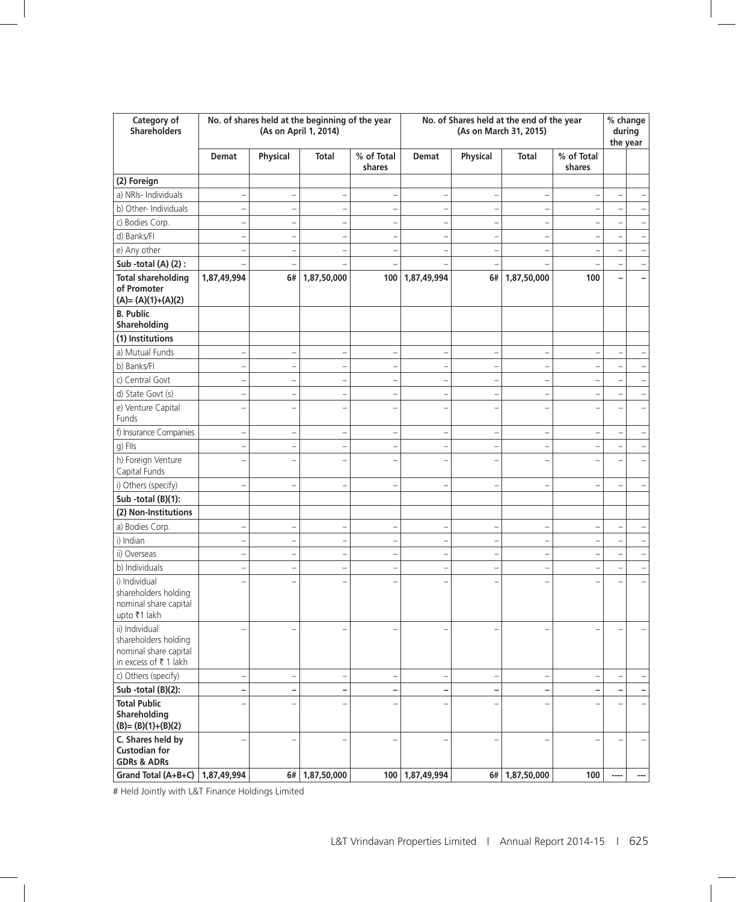| Category of<br>Shareholders                                                             |                          |                          | No. of shares held at the beginning of the year<br>(As on April 1, 2014) |                          | No. of Shares held at the end of the year<br>(As on March 31, 2015) |                          |                                 |                          | % change<br>during<br>the year |
|-----------------------------------------------------------------------------------------|--------------------------|--------------------------|--------------------------------------------------------------------------|--------------------------|---------------------------------------------------------------------|--------------------------|---------------------------------|--------------------------|--------------------------------|
|                                                                                         | Demat                    | Physical                 | Total                                                                    | % of Total<br>shares     | Demat                                                               | Physical                 | Total                           | % of Total<br>shares     |                                |
| (2) Foreign                                                                             |                          |                          |                                                                          |                          |                                                                     |                          |                                 |                          |                                |
| a) NRIs- Individuals                                                                    | -                        |                          | $\overline{\phantom{0}}$                                                 |                          | $\overline{\phantom{0}}$                                            |                          | $\overline{a}$                  |                          |                                |
| b) Other- Individuals                                                                   | $\overline{\phantom{0}}$ | $\overline{a}$           | $\equiv$                                                                 | $\overline{\phantom{0}}$ | $\overline{\phantom{0}}$                                            | $\overline{a}$           | $\overline{\phantom{0}}$        |                          |                                |
| c) Bodies Corp.                                                                         | $\overline{\phantom{0}}$ | $\overline{\phantom{0}}$ | $\qquad \qquad -$                                                        | $\overline{\phantom{0}}$ | $\overline{\phantom{0}}$                                            | $\overline{a}$           | $\overline{\phantom{0}}$        |                          |                                |
| d) Banks/Fl                                                                             | $\overline{\phantom{0}}$ |                          | $\overline{\phantom{0}}$                                                 | $\overline{\phantom{0}}$ | $\overline{a}$                                                      | $\overline{\phantom{0}}$ | $\overline{\phantom{a}}$        |                          |                                |
| e) Any other                                                                            | $\overline{\phantom{0}}$ |                          | $\overline{\phantom{0}}$                                                 | $\overline{\phantom{0}}$ | $\overline{a}$                                                      |                          | $\overline{\phantom{a}}$        |                          |                                |
| Sub -total (A) (2) :                                                                    |                          |                          |                                                                          |                          |                                                                     |                          |                                 |                          |                                |
| <b>Total shareholding</b>                                                               | 1,87,49,994              | 6#                       | 1,87,50,000                                                              | 100                      | 1,87,49,994                                                         | 6#                       | 1,87,50,000                     | 100                      |                                |
| of Promoter<br>$(A)=(A)(1)+(A)(2)$                                                      |                          |                          |                                                                          |                          |                                                                     |                          |                                 |                          |                                |
| <b>B.</b> Public<br>Shareholding                                                        |                          |                          |                                                                          |                          |                                                                     |                          |                                 |                          |                                |
| (1) Institutions                                                                        |                          |                          |                                                                          |                          |                                                                     |                          |                                 |                          |                                |
| a) Mutual Funds                                                                         | $\overline{\phantom{0}}$ |                          | $\qquad \qquad -$                                                        | $\overline{\phantom{0}}$ | $\overline{\phantom{0}}$                                            | $\overline{a}$           | $\overline{\phantom{0}}$        | $\overline{\phantom{0}}$ |                                |
| b) Banks/Fl                                                                             | $\overline{\phantom{0}}$ |                          | $\qquad \qquad -$                                                        | $\overline{a}$           | $\overline{\phantom{0}}$                                            | $\overline{\phantom{0}}$ | $\overline{\phantom{0}}$        |                          |                                |
| c) Central Govt                                                                         | $\overline{\phantom{0}}$ |                          | $\overline{\phantom{0}}$                                                 | $\overline{\phantom{0}}$ | $\overline{\phantom{0}}$                                            |                          | $\overline{\phantom{0}}$        |                          |                                |
| d) State Govt (s)                                                                       | $\overline{\phantom{0}}$ |                          | $\qquad \qquad -$                                                        | $\overline{\phantom{0}}$ | $\overline{a}$                                                      |                          | $\overline{\phantom{a}}$        |                          |                                |
| e) Venture Capital<br>Funds                                                             | $\overline{a}$           |                          | $\overline{a}$                                                           |                          | $\overline{a}$                                                      |                          | $\overline{\phantom{0}}$        |                          |                                |
| f) Insurance Companies                                                                  | $\overline{\phantom{0}}$ | $\overline{a}$           | $\qquad \qquad -$                                                        | $\overline{a}$           | $\qquad \qquad -$                                                   | $\overline{a}$           |                                 | $\overline{a}$           |                                |
| g) Flls                                                                                 | $\overline{\phantom{0}}$ | $\overline{\phantom{0}}$ | $\overline{\phantom{0}}$                                                 | $\overline{\phantom{0}}$ | $\overline{a}$                                                      | $\overline{\phantom{0}}$ | $\overline{\phantom{a}}$        | $\overline{\phantom{0}}$ |                                |
| h) Foreign Venture<br>Capital Funds                                                     | $\overline{\phantom{0}}$ |                          | $\overline{a}$                                                           |                          | $\overline{a}$                                                      |                          | $\overline{\phantom{0}}$        |                          |                                |
| i) Others (specify)                                                                     | $\overline{\phantom{0}}$ |                          | $\overline{\phantom{0}}$                                                 |                          | $\overline{a}$                                                      |                          | $\overline{\phantom{0}}$        |                          |                                |
| Sub -total (B)(1):                                                                      |                          |                          |                                                                          |                          |                                                                     |                          |                                 |                          |                                |
| (2) Non-Institutions                                                                    |                          |                          |                                                                          |                          |                                                                     |                          |                                 |                          |                                |
| a) Bodies Corp.                                                                         | $\overline{\phantom{0}}$ | $\overline{a}$           | $\overline{\phantom{0}}$                                                 | $\overline{\phantom{0}}$ | $\overline{a}$                                                      | $\overline{\phantom{0}}$ | $\overline{a}$                  |                          |                                |
| i) Indian                                                                               | $\overline{\phantom{0}}$ |                          | $\qquad \qquad -$                                                        |                          | $\overline{a}$                                                      |                          | $\overline{\phantom{0}}$        |                          |                                |
| ii) Overseas                                                                            | $\overline{\phantom{0}}$ |                          | $\overline{\phantom{0}}$                                                 |                          | $\overline{a}$                                                      |                          | $\overline{\phantom{a}}$        |                          |                                |
| b) Individuals                                                                          | $\overline{\phantom{0}}$ |                          | $\overline{a}$                                                           |                          |                                                                     |                          |                                 |                          |                                |
| i) Individual<br>shareholders holding<br>nominal share capital<br>upto ₹1 lakh          |                          |                          |                                                                          |                          |                                                                     |                          |                                 |                          |                                |
| ii) Individual<br>shareholders holding<br>nominal share capital<br>in excess of ₹1 lakh |                          |                          |                                                                          |                          |                                                                     |                          |                                 |                          |                                |
| c) Others (specify)                                                                     | $\overline{\phantom{0}}$ |                          | $\qquad \qquad -$                                                        |                          | $\overline{\phantom{0}}$                                            |                          | $\overbrace{\rule{2.5cm}{0pt}}$ |                          |                                |
| Sub-total (B)(2):                                                                       |                          |                          |                                                                          |                          |                                                                     |                          |                                 |                          |                                |
| <b>Total Public</b><br>Shareholding<br>$(B)=(B)(1)+(B)(2)$                              |                          |                          |                                                                          |                          |                                                                     |                          |                                 |                          |                                |
| C. Shares held by<br><b>Custodian for</b><br><b>GDRs &amp; ADRs</b>                     | $\overline{\phantom{0}}$ |                          | $\overline{\phantom{a}}$                                                 |                          | $\overline{a}$                                                      |                          |                                 |                          |                                |
| Grand Total (A+B+C)                                                                     | 1,87,49,994              |                          | 6# 1,87,50,000                                                           |                          | 100   1,87,49,994                                                   |                          | 6# 1,87,50,000                  | 100                      | <br>---                        |

# Held Jointly with L&T Finance Holdings Limited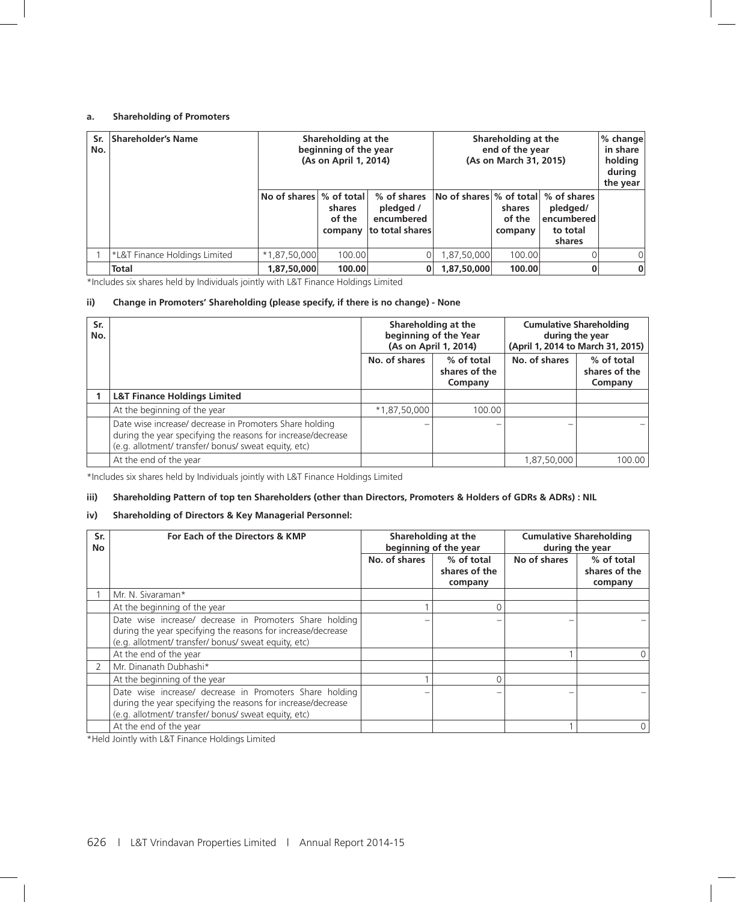#### **a. Shareholding of Promoters**

| Sr.<br>No. | Shareholder's Name            | Shareholding at the<br>beginning of the year<br>(As on April 1, 2014) |                                             |                                                           | Shareholding at the<br>end of the year<br>(As on March 31, 2015) | $%$ change<br>in share<br>holding<br>during<br>the year |                                              |          |
|------------|-------------------------------|-----------------------------------------------------------------------|---------------------------------------------|-----------------------------------------------------------|------------------------------------------------------------------|---------------------------------------------------------|----------------------------------------------|----------|
|            |                               | No of shares                                                          | $%$ of total<br>shares<br>of the<br>company | % of shares<br>pledged /<br>encumbered<br>to total shares | $ $ No of shares $ \%$ of total $ \%$ of shares                  | shares<br>of the<br>company                             | pledged/<br>encumbered<br>to total<br>shares |          |
|            | *L&T Finance Holdings Limited | $*1,87,50,000$                                                        | 100.00                                      |                                                           | 1,87,50,000                                                      | 100.00                                                  |                                              | $\Omega$ |
|            | <b>Total</b>                  | 1,87,50,000                                                           | 100.00                                      |                                                           | 1,87,50,000                                                      | 100.00                                                  |                                              | $\bf{0}$ |

\*Includes six shares held by Individuals jointly with L&T Finance Holdings Limited

#### **ii) Change in Promoters' Shareholding (please specify, if there is no change) - None**

| Sr.<br>No. |                                                                                                                                                                                 |               | Shareholding at the<br>beginning of the Year<br>(As on April 1, 2014) | <b>Cumulative Shareholding</b><br>during the year<br>(April 1, 2014 to March 31, 2015) |                                        |  |
|------------|---------------------------------------------------------------------------------------------------------------------------------------------------------------------------------|---------------|-----------------------------------------------------------------------|----------------------------------------------------------------------------------------|----------------------------------------|--|
|            |                                                                                                                                                                                 | No. of shares | % of total<br>shares of the<br>Company                                | No. of shares                                                                          | % of total<br>shares of the<br>Company |  |
|            | <b>L&amp;T Finance Holdings Limited</b>                                                                                                                                         |               |                                                                       |                                                                                        |                                        |  |
|            | At the beginning of the year                                                                                                                                                    | *1,87,50,000  | 100.00                                                                |                                                                                        |                                        |  |
|            | Date wise increase/ decrease in Promoters Share holding<br>during the year specifying the reasons for increase/decrease<br>(e.g. allotment/ transfer/ bonus/ sweat equity, etc) |               |                                                                       |                                                                                        |                                        |  |
|            | At the end of the year                                                                                                                                                          |               |                                                                       | 1,87,50,000                                                                            | 100.00                                 |  |

\*Includes six shares held by Individuals jointly with L&T Finance Holdings Limited

#### **iii) Shareholding Pattern of top ten Shareholders (other than Directors, Promoters & Holders of GDRs & ADRs) : NIL**

#### **iv) Shareholding of Directors & Key Managerial Personnel:**

| Sr.<br>No. | For Each of the Directors & KMP                                                                                                                                                 |               | Shareholding at the<br>beginning of the year | <b>Cumulative Shareholding</b><br>during the year |                                        |  |
|------------|---------------------------------------------------------------------------------------------------------------------------------------------------------------------------------|---------------|----------------------------------------------|---------------------------------------------------|----------------------------------------|--|
|            |                                                                                                                                                                                 | No. of shares | % of total<br>shares of the<br>company       | No of shares                                      | % of total<br>shares of the<br>company |  |
|            | Mr. N. Sivaraman*                                                                                                                                                               |               |                                              |                                                   |                                        |  |
|            | At the beginning of the year                                                                                                                                                    |               |                                              |                                                   |                                        |  |
|            | Date wise increase/ decrease in Promoters Share holding<br>during the year specifying the reasons for increase/decrease<br>(e.g. allotment/ transfer/ bonus/ sweat equity, etc) |               |                                              |                                                   |                                        |  |
|            | At the end of the year                                                                                                                                                          |               |                                              |                                                   |                                        |  |
|            | Mr. Dinanath Dubhashi*                                                                                                                                                          |               |                                              |                                                   |                                        |  |
|            | At the beginning of the year                                                                                                                                                    |               |                                              |                                                   |                                        |  |
|            | Date wise increase/ decrease in Promoters Share holding<br>during the year specifying the reasons for increase/decrease<br>(e.g. allotment/ transfer/ bonus/ sweat equity, etc) |               |                                              |                                                   |                                        |  |
|            | At the end of the year                                                                                                                                                          |               |                                              |                                                   | 0                                      |  |

\*Held Jointly with L&T Finance Holdings Limited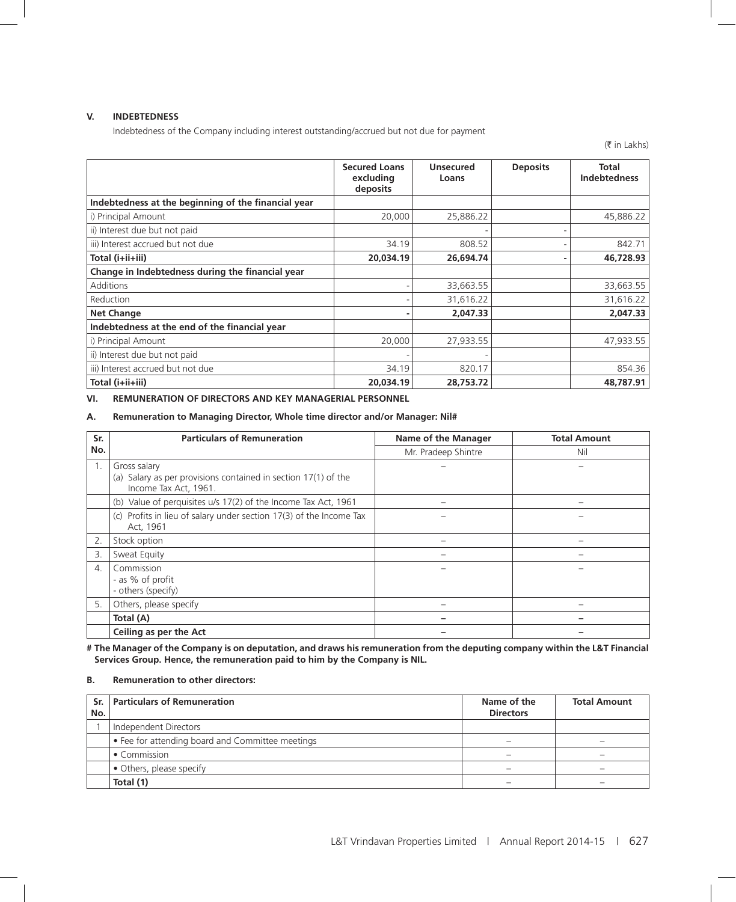#### **V. INDEBTEDNESS**

Indebtedness of the Company including interest outstanding/accrued but not due for payment

(₹ in Lakhs)

|                                                     | <b>Secured Loans</b><br>excluding<br>deposits | <b>Unsecured</b><br>Loans | <b>Deposits</b> | <b>Total</b><br><b>Indebtedness</b> |
|-----------------------------------------------------|-----------------------------------------------|---------------------------|-----------------|-------------------------------------|
| Indebtedness at the beginning of the financial year |                                               |                           |                 |                                     |
| i) Principal Amount                                 | 20,000                                        | 25,886.22                 |                 | 45,886.22                           |
| ii) Interest due but not paid                       |                                               |                           |                 |                                     |
| iii) Interest accrued but not due                   | 34.19                                         | 808.52                    |                 | 842.71                              |
| Total (i+ii+iii)                                    | 20,034.19                                     | 26,694.74                 |                 | 46,728.93                           |
| Change in Indebtedness during the financial year    |                                               |                           |                 |                                     |
| <b>Additions</b>                                    |                                               | 33,663.55                 |                 | 33,663.55                           |
| Reduction                                           |                                               | 31,616.22                 |                 | 31,616.22                           |
| <b>Net Change</b>                                   |                                               | 2,047.33                  |                 | 2,047.33                            |
| Indebtedness at the end of the financial year       |                                               |                           |                 |                                     |
| i) Principal Amount                                 | 20,000                                        | 27,933.55                 |                 | 47,933.55                           |
| ii) Interest due but not paid                       |                                               |                           |                 |                                     |
| iii) Interest accrued but not due                   | 34.19                                         | 820.17                    |                 | 854.36                              |
| Total (i+ii+iii)                                    | 20.034.19                                     | 28,753,72                 |                 | 48.787.91                           |

**VI. REMUNERATION OF DIRECTORS AND KEY MANAGERIAL PERSONNEL** 

#### **A. Remuneration to Managing Director, Whole time director and/or Manager: Nil#**

| Sr.                   | <b>Particulars of Remuneration</b>                                                                      | Name of the Manager | <b>Total Amount</b> |
|-----------------------|---------------------------------------------------------------------------------------------------------|---------------------|---------------------|
| No.                   |                                                                                                         | Mr. Pradeep Shintre | Nil                 |
|                       | Gross salary<br>(a) Salary as per provisions contained in section 17(1) of the<br>Income Tax Act, 1961. |                     |                     |
|                       | (b) Value of perquisites u/s 17(2) of the Income Tax Act, 1961                                          |                     |                     |
|                       | (c) Profits in lieu of salary under section 17(3) of the Income Tax<br>Act, 1961                        |                     |                     |
| 2.                    | Stock option                                                                                            |                     |                     |
| 3.                    | Sweat Equity                                                                                            |                     |                     |
| $\mathcal{A}_{\cdot}$ | Commission<br>- as % of profit<br>- others (specify)                                                    |                     |                     |
| 5.                    | Others, please specify                                                                                  |                     |                     |
|                       | Total (A)                                                                                               |                     |                     |
|                       | Ceiling as per the Act                                                                                  |                     |                     |

**# The Manager of the Company is on deputation, and draws his remuneration from the deputing company within the L&T Financial Services Group. Hence, the remuneration paid to him by the Company is NIL.** 

#### **B. Remuneration to other directors:**

| No. | Sr. Particulars of Remuneration                | Name of the<br><b>Directors</b> | <b>Total Amount</b>      |
|-----|------------------------------------------------|---------------------------------|--------------------------|
|     | Independent Directors                          |                                 |                          |
|     | Fee for attending board and Committee meetings |                                 |                          |
|     | • Commission                                   |                                 |                          |
|     | • Others, please specify                       |                                 | $\overline{\phantom{a}}$ |
|     | Total (1)                                      |                                 |                          |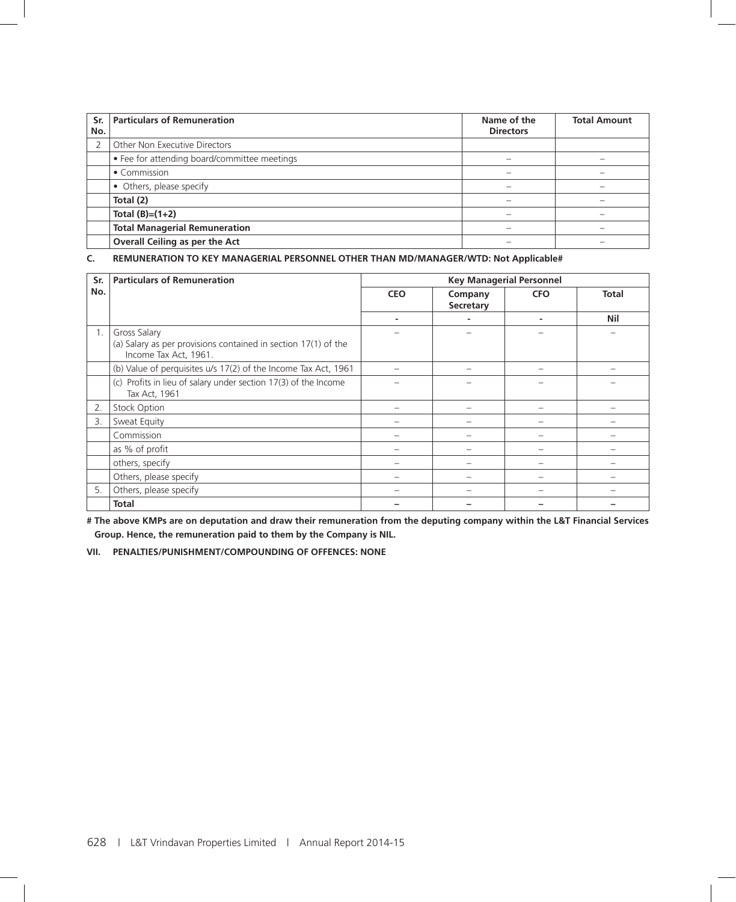| Sr.<br>No. | <b>Particulars of Remuneration</b>           | Name of the<br><b>Directors</b> | <b>Total Amount</b> |
|------------|----------------------------------------------|---------------------------------|---------------------|
|            | Other Non Executive Directors                |                                 |                     |
|            | • Fee for attending board/committee meetings |                                 |                     |
|            | • Commission                                 |                                 |                     |
|            | • Others, please specify                     |                                 |                     |
|            | Total (2)                                    |                                 |                     |
|            | Total $(B)=(1+2)$                            |                                 |                     |
|            | <b>Total Managerial Remuneration</b>         |                                 |                     |
|            | Overall Ceiling as per the Act               |                                 |                     |

#### **C. REMUNERATION TO KEY MANAGERIAL PERSONNEL OTHER THAN MD/MANAGER/WTD: Not Applicable#**

| Sr. | <b>Particulars of Remuneration</b>                                                                      | <b>Key Managerial Personnel</b> |                      |            |              |
|-----|---------------------------------------------------------------------------------------------------------|---------------------------------|----------------------|------------|--------------|
| No. |                                                                                                         | <b>CEO</b>                      | Company<br>Secretary | <b>CFO</b> | <b>Total</b> |
|     |                                                                                                         |                                 |                      | -          | Nil          |
| 1.  | Gross Salary<br>(a) Salary as per provisions contained in section 17(1) of the<br>Income Tax Act, 1961. |                                 |                      |            |              |
|     | (b) Value of perquisites u/s 17(2) of the Income Tax Act, 1961                                          |                                 |                      |            |              |
|     | (c) Profits in lieu of salary under section 17(3) of the Income<br>Tax Act, 1961                        |                                 |                      |            |              |
| 2.  | <b>Stock Option</b>                                                                                     |                                 |                      |            |              |
| 3.  | Sweat Equity                                                                                            |                                 |                      |            |              |
|     | Commission                                                                                              |                                 |                      |            |              |
|     | as % of profit                                                                                          |                                 |                      |            |              |
|     | others, specify                                                                                         |                                 |                      |            |              |
|     | Others, please specify                                                                                  |                                 |                      |            |              |
| 5.  | Others, please specify                                                                                  |                                 |                      |            |              |
|     | <b>Total</b>                                                                                            |                                 |                      |            |              |

**# The above KMPs are on deputation and draw their remuneration from the deputing company within the L&T Financial Services Group. Hence, the remuneration paid to them by the Company is NIL.** 

**VII. PENALTIES/PUNISHMENT/COMPOUNDING OF OFFENCES: NONE**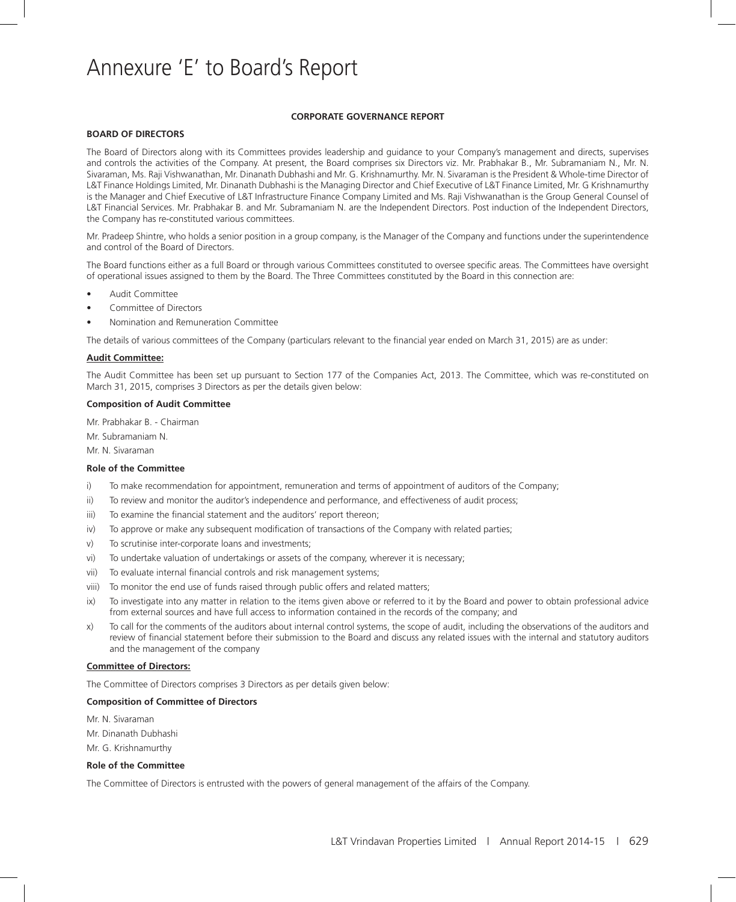# Annexure 'E' to Board's Report

#### **CORPORATE GOVERNANCE REPORT**

#### **BOARD OF DIRECTORS**

The Board of Directors along with its Committees provides leadership and guidance to your Company's management and directs, supervises and controls the activities of the Company. At present, the Board comprises six Directors viz. Mr. Prabhakar B., Mr. Subramaniam N., Mr. N. Sivaraman, Ms. Raji Vishwanathan, Mr. Dinanath Dubhashi and Mr. G. Krishnamurthy. Mr. N. Sivaraman is the President & Whole-time Director of L&T Finance Holdings Limited, Mr. Dinanath Dubhashi is the Managing Director and Chief Executive of L&T Finance Limited, Mr. G Krishnamurthy is the Manager and Chief Executive of L&T Infrastructure Finance Company Limited and Ms. Raji Vishwanathan is the Group General Counsel of L&T Financial Services. Mr. Prabhakar B. and Mr. Subramaniam N. are the Independent Directors. Post induction of the Independent Directors, the Company has re-constituted various committees.

Mr. Pradeep Shintre, who holds a senior position in a group company, is the Manager of the Company and functions under the superintendence and control of the Board of Directors.

The Board functions either as a full Board or through various Committees constituted to oversee specific areas. The Committees have oversight of operational issues assigned to them by the Board. The Three Committees constituted by the Board in this connection are:

- Audit Committee
- Committee of Directors
- Nomination and Remuneration Committee

The details of various committees of the Company (particulars relevant to the financial year ended on March 31, 2015) are as under:

#### **Audit Committee:**

The Audit Committee has been set up pursuant to Section 177 of the Companies Act, 2013. The Committee, which was re-constituted on March 31, 2015, comprises 3 Directors as per the details given below:

#### **Composition of Audit Committee**

Mr. Prabhakar B. - Chairman

Mr. Subramaniam N.

Mr. N. Sivaraman

#### **Role of the Committee**

- i) To make recommendation for appointment, remuneration and terms of appointment of auditors of the Company;
- ii) To review and monitor the auditor's independence and performance, and effectiveness of audit process;
- iii) To examine the financial statement and the auditors' report thereon;
- iv) To approve or make any subsequent modification of transactions of the Company with related parties;
- v) To scrutinise inter-corporate loans and investments;
- vi) To undertake valuation of undertakings or assets of the company, wherever it is necessary;
- vii) To evaluate internal financial controls and risk management systems;
- viii) To monitor the end use of funds raised through public offers and related matters;
- ix) To investigate into any matter in relation to the items given above or referred to it by the Board and power to obtain professional advice from external sources and have full access to information contained in the records of the company; and
- x) To call for the comments of the auditors about internal control systems, the scope of audit, including the observations of the auditors and review of financial statement before their submission to the Board and discuss any related issues with the internal and statutory auditors and the management of the company

#### **Committee of Directors:**

The Committee of Directors comprises 3 Directors as per details given below:

#### **Composition of Committee of Directors**

- Mr. N. Sivaraman
- Mr. Dinanath Dubhashi
- Mr. G. Krishnamurthy

#### **Role of the Committee**

The Committee of Directors is entrusted with the powers of general management of the affairs of the Company.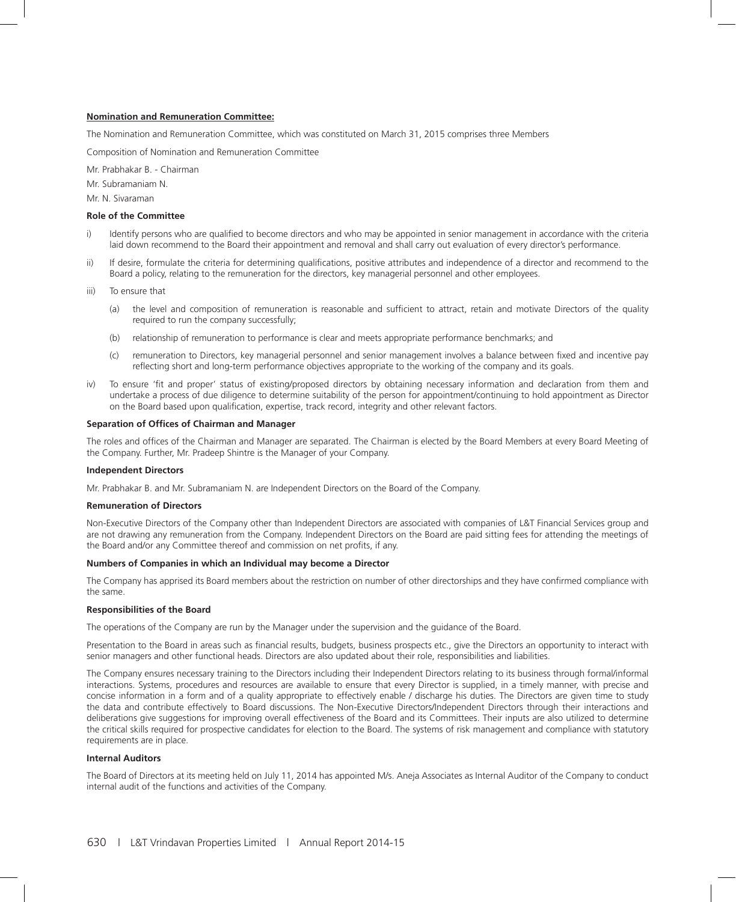#### **Nomination and Remuneration Committee:**

The Nomination and Remuneration Committee, which was constituted on March 31, 2015 comprises three Members

Composition of Nomination and Remuneration Committee

Mr. Prabhakar B. - Chairman

Mr. Subramaniam N.

Mr. N. Sivaraman

#### **Role of the Committee**

- i) Identify persons who are qualified to become directors and who may be appointed in senior management in accordance with the criteria laid down recommend to the Board their appointment and removal and shall carry out evaluation of every director's performance.
- ii) If desire, formulate the criteria for determining qualifications, positive attributes and independence of a director and recommend to the Board a policy, relating to the remuneration for the directors, key managerial personnel and other employees.
- iii) To ensure that
	- (a) the level and composition of remuneration is reasonable and sufficient to attract, retain and motivate Directors of the quality required to run the company successfully;
	- (b) relationship of remuneration to performance is clear and meets appropriate performance benchmarks; and
	- (c) remuneration to Directors, key managerial personnel and senior management involves a balance between fixed and incentive pay reflecting short and long-term performance objectives appropriate to the working of the company and its goals.
- iv) To ensure 'fit and proper' status of existing/proposed directors by obtaining necessary information and declaration from them and undertake a process of due diligence to determine suitability of the person for appointment/continuing to hold appointment as Director on the Board based upon qualification, expertise, track record, integrity and other relevant factors.

#### **Separation of Offices of Chairman and Manager**

The roles and offices of the Chairman and Manager are separated. The Chairman is elected by the Board Members at every Board Meeting of the Company. Further, Mr. Pradeep Shintre is the Manager of your Company.

#### **Independent Directors**

Mr. Prabhakar B. and Mr. Subramaniam N. are Independent Directors on the Board of the Company.

#### **Remuneration of Directors**

Non-Executive Directors of the Company other than Independent Directors are associated with companies of L&T Financial Services group and are not drawing any remuneration from the Company. Independent Directors on the Board are paid sitting fees for attending the meetings of the Board and/or any Committee thereof and commission on net profits, if any.

#### **Numbers of Companies in which an Individual may become a Director**

The Company has apprised its Board members about the restriction on number of other directorships and they have confirmed compliance with the same.

#### **Responsibilities of the Board**

The operations of the Company are run by the Manager under the supervision and the guidance of the Board.

Presentation to the Board in areas such as financial results, budgets, business prospects etc., give the Directors an opportunity to interact with senior managers and other functional heads. Directors are also updated about their role, responsibilities and liabilities.

The Company ensures necessary training to the Directors including their Independent Directors relating to its business through formal/informal interactions. Systems, procedures and resources are available to ensure that every Director is supplied, in a timely manner, with precise and concise information in a form and of a quality appropriate to effectively enable / discharge his duties. The Directors are given time to study the data and contribute effectively to Board discussions. The Non-Executive Directors/Independent Directors through their interactions and deliberations give suggestions for improving overall effectiveness of the Board and its Committees. Their inputs are also utilized to determine the critical skills required for prospective candidates for election to the Board. The systems of risk management and compliance with statutory requirements are in place.

#### **Internal Auditors**

The Board of Directors at its meeting held on July 11, 2014 has appointed M/s. Aneja Associates as Internal Auditor of the Company to conduct internal audit of the functions and activities of the Company.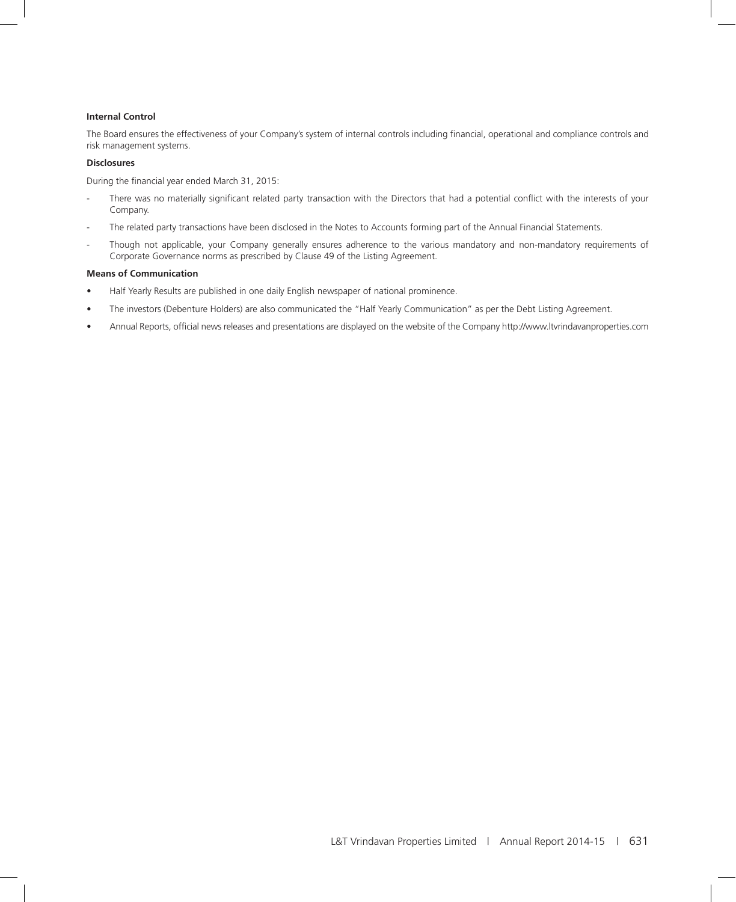#### **Internal Control**

The Board ensures the effectiveness of your Company's system of internal controls including financial, operational and compliance controls and risk management systems.

#### **Disclosures**

During the financial year ended March 31, 2015:

- There was no materially significant related party transaction with the Directors that had a potential conflict with the interests of your Company.
- The related party transactions have been disclosed in the Notes to Accounts forming part of the Annual Financial Statements.
- Though not applicable, your Company generally ensures adherence to the various mandatory and non-mandatory requirements of Corporate Governance norms as prescribed by Clause 49 of the Listing Agreement.

#### **Means of Communication**

- Half Yearly Results are published in one daily English newspaper of national prominence.
- The investors (Debenture Holders) are also communicated the "Half Yearly Communication" as per the Debt Listing Agreement.
- Annual Reports, official news releases and presentations are displayed on the website of the Company http://www.ltvrindavanproperties.com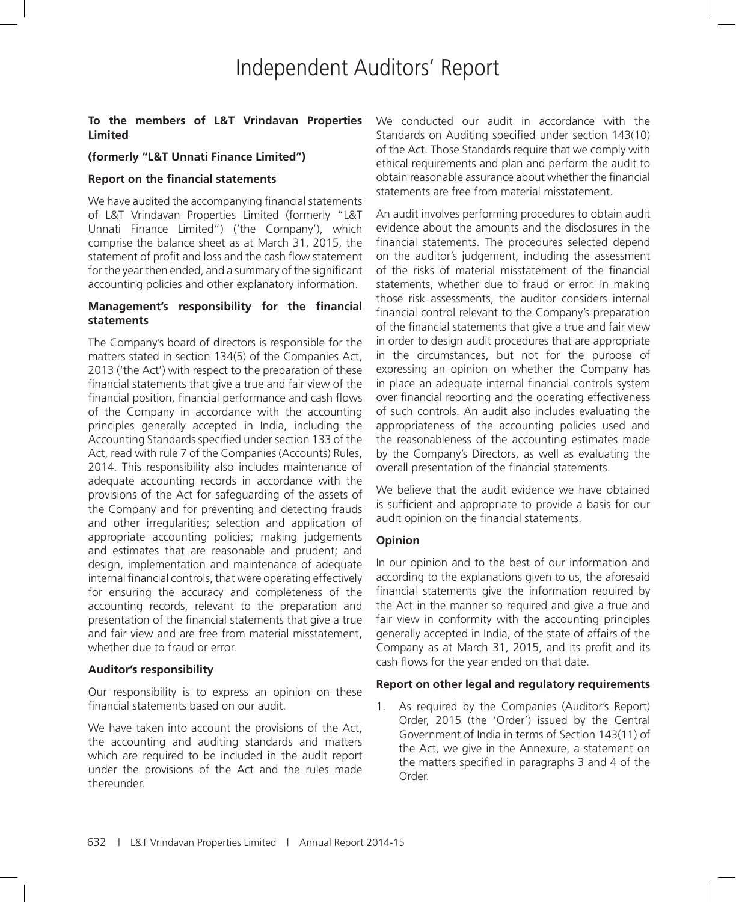#### **To the members of L&T Vrindavan Properties Limited**

#### **(formerly "L&T Unnati Finance Limited")**

#### **Report on the financial statements**

We have audited the accompanying financial statements of L&T Vrindavan Properties Limited (formerly "L&T Unnati Finance Limited") ('the Company'), which comprise the balance sheet as at March 31, 2015, the statement of profit and loss and the cash flow statement for the year then ended, and a summary of the significant accounting policies and other explanatory information.

#### **Management's responsibility for the financial statements**

The Company's board of directors is responsible for the matters stated in section 134(5) of the Companies Act, 2013 ('the Act') with respect to the preparation of these financial statements that give a true and fair view of the financial position, financial performance and cash flows of the Company in accordance with the accounting principles generally accepted in India, including the Accounting Standards specified under section 133 of the Act, read with rule 7 of the Companies (Accounts) Rules, 2014. This responsibility also includes maintenance of adequate accounting records in accordance with the provisions of the Act for safeguarding of the assets of the Company and for preventing and detecting frauds and other irregularities; selection and application of appropriate accounting policies; making judgements and estimates that are reasonable and prudent; and design, implementation and maintenance of adequate internal financial controls, that were operating effectively for ensuring the accuracy and completeness of the accounting records, relevant to the preparation and presentation of the financial statements that give a true and fair view and are free from material misstatement, whether due to fraud or error.

#### **Auditor's responsibility**

Our responsibility is to express an opinion on these financial statements based on our audit.

We have taken into account the provisions of the Act, the accounting and auditing standards and matters which are required to be included in the audit report under the provisions of the Act and the rules made thereunder.

We conducted our audit in accordance with the Standards on Auditing specified under section 143(10) of the Act. Those Standards require that we comply with ethical requirements and plan and perform the audit to obtain reasonable assurance about whether the financial statements are free from material misstatement.

An audit involves performing procedures to obtain audit evidence about the amounts and the disclosures in the financial statements. The procedures selected depend on the auditor's judgement, including the assessment of the risks of material misstatement of the financial statements, whether due to fraud or error. In making those risk assessments, the auditor considers internal financial control relevant to the Company's preparation of the financial statements that give a true and fair view in order to design audit procedures that are appropriate in the circumstances, but not for the purpose of expressing an opinion on whether the Company has in place an adequate internal financial controls system over financial reporting and the operating effectiveness of such controls. An audit also includes evaluating the appropriateness of the accounting policies used and the reasonableness of the accounting estimates made by the Company's Directors, as well as evaluating the overall presentation of the financial statements.

We believe that the audit evidence we have obtained is sufficient and appropriate to provide a basis for our audit opinion on the financial statements.

#### **Opinion**

In our opinion and to the best of our information and according to the explanations given to us, the aforesaid financial statements give the information required by the Act in the manner so required and give a true and fair view in conformity with the accounting principles generally accepted in India, of the state of affairs of the Company as at March 31, 2015, and its profit and its cash flows for the year ended on that date.

#### **Report on other legal and regulatory requirements**

1. As required by the Companies (Auditor's Report) Order, 2015 (the 'Order') issued by the Central Government of India in terms of Section 143(11) of the Act, we give in the Annexure, a statement on the matters specified in paragraphs 3 and 4 of the Order.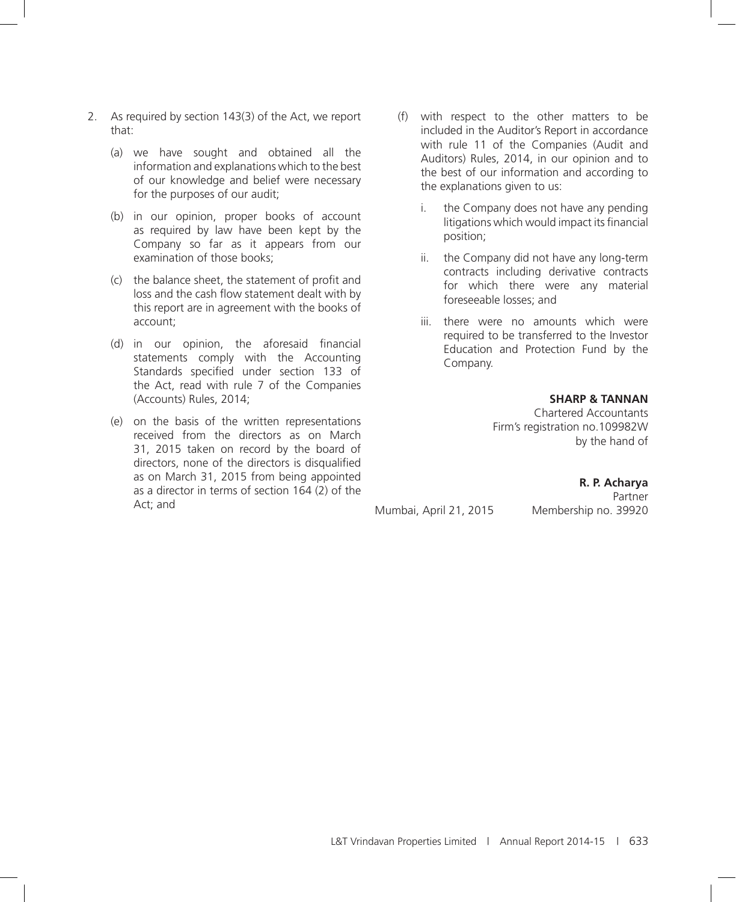- 2. As required by section 143(3) of the Act, we report that:
	- (a) we have sought and obtained all the information and explanations which to the best of our knowledge and belief were necessary for the purposes of our audit;
	- (b) in our opinion, proper books of account as required by law have been kept by the Company so far as it appears from our examination of those books;
	- (c) the balance sheet, the statement of profit and loss and the cash flow statement dealt with by this report are in agreement with the books of account;
	- (d) in our opinion, the aforesaid financial statements comply with the Accounting Standards specified under section 133 of the Act, read with rule 7 of the Companies (Accounts) Rules, 2014;
	- (e) on the basis of the written representations received from the directors as on March 31, 2015 taken on record by the board of directors, none of the directors is disqualified as on March 31, 2015 from being appointed as a director in terms of section 164 (2) of the Act; and
- (f) with respect to the other matters to be included in the Auditor's Report in accordance with rule 11 of the Companies (Audit and Auditors) Rules, 2014, in our opinion and to the best of our information and according to the explanations given to us:
	- i. the Company does not have any pending litigations which would impact its financial position;
	- ii. the Company did not have any long-term contracts including derivative contracts for which there were any material foreseeable losses; and
	- iii. there were no amounts which were required to be transferred to the Investor Education and Protection Fund by the Company.

**SHARP & TANNAN**

**R. P. Acharya** Partner

Chartered Accountants Firm's registration no.109982W by the hand of

Mumbai, April 21, 2015 Membership no. 39920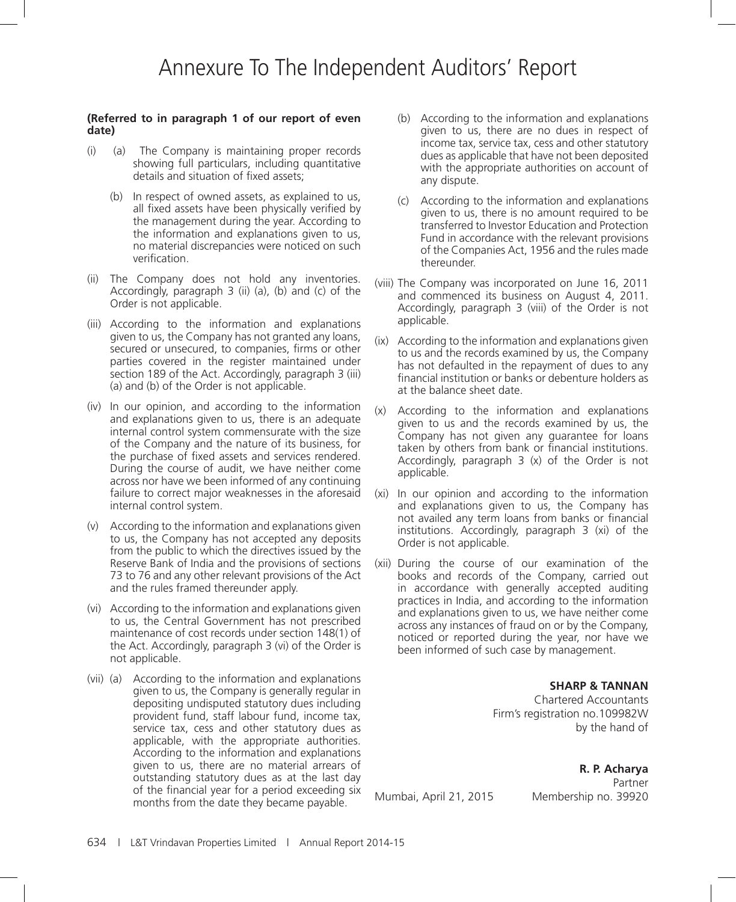#### **(Referred to in paragraph 1 of our report of even date)**

- (i) (a) The Company is maintaining proper records showing full particulars, including quantitative details and situation of fixed assets;
	- (b) In respect of owned assets, as explained to us, all fixed assets have been physically verified by the management during the year. According to the information and explanations given to us, no material discrepancies were noticed on such verification.
- (ii) The Company does not hold any inventories. Accordingly, paragraph 3 (ii) (a), (b) and (c) of the Order is not applicable.
- (iii) According to the information and explanations given to us, the Company has not granted any loans, secured or unsecured, to companies, firms or other parties covered in the register maintained under section 189 of the Act. Accordingly, paragraph 3 (iii) (a) and (b) of the Order is not applicable.
- (iv) In our opinion, and according to the information and explanations given to us, there is an adequate internal control system commensurate with the size of the Company and the nature of its business, for the purchase of fixed assets and services rendered. During the course of audit, we have neither come across nor have we been informed of any continuing failure to correct major weaknesses in the aforesaid internal control system.
- (v) According to the information and explanations given to us, the Company has not accepted any deposits from the public to which the directives issued by the Reserve Bank of India and the provisions of sections 73 to 76 and any other relevant provisions of the Act and the rules framed thereunder apply.
- (vi) According to the information and explanations given to us, the Central Government has not prescribed maintenance of cost records under section 148(1) of the Act. Accordingly, paragraph 3 (vi) of the Order is not applicable.
- (vii) (a) According to the information and explanations given to us, the Company is generally regular in depositing undisputed statutory dues including provident fund, staff labour fund, income tax, service tax, cess and other statutory dues as applicable, with the appropriate authorities. According to the information and explanations given to us, there are no material arrears of outstanding statutory dues as at the last day of the financial year for a period exceeding six months from the date they became payable.
- (b) According to the information and explanations given to us, there are no dues in respect of income tax, service tax, cess and other statutory dues as applicable that have not been deposited with the appropriate authorities on account of any dispute.
- (c) According to the information and explanations given to us, there is no amount required to be transferred to Investor Education and Protection Fund in accordance with the relevant provisions of the Companies Act, 1956 and the rules made thereunder.
- (viii) The Company was incorporated on June 16, 2011 and commenced its business on August 4, 2011. Accordingly, paragraph 3 (viii) of the Order is not applicable.
- (ix) According to the information and explanations given to us and the records examined by us, the Company has not defaulted in the repayment of dues to any financial institution or banks or debenture holders as at the balance sheet date.
- (x) According to the information and explanations given to us and the records examined by us, the Company has not given any guarantee for loans taken by others from bank or financial institutions. Accordingly, paragraph 3 (x) of the Order is not applicable.
- (xi) In our opinion and according to the information and explanations given to us, the Company has not availed any term loans from banks or financial institutions. Accordingly, paragraph 3 (xi) of the Order is not applicable.
- (xii) During the course of our examination of the books and records of the Company, carried out in accordance with generally accepted auditing practices in India, and according to the information and explanations given to us, we have neither come across any instances of fraud on or by the Company, noticed or reported during the year, nor have we been informed of such case by management.

#### **SHARP & TANNAN**

Chartered Accountants Firm's registration no.109982W by the hand of

### **R. P. Acharya**

Mumbai, April 21, 2015 Membership no. 39920

Partner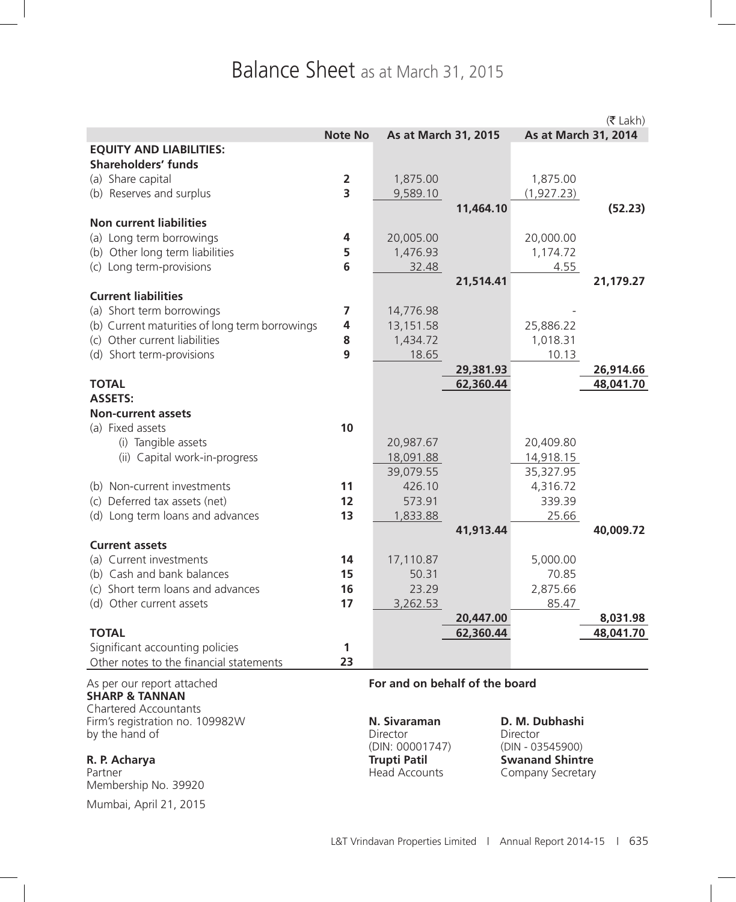# Balance Sheet as at March 31, 2015

|                                                   |                         |                                |           |                      | $(5$ Lakh) |
|---------------------------------------------------|-------------------------|--------------------------------|-----------|----------------------|------------|
|                                                   | <b>Note No</b>          | As at March 31, 2015           |           | As at March 31, 2014 |            |
| <b>EQUITY AND LIABILITIES:</b>                    |                         |                                |           |                      |            |
| <b>Shareholders' funds</b>                        |                         |                                |           |                      |            |
| (a) Share capital                                 | $\overline{\mathbf{2}}$ | 1,875.00                       |           | 1,875.00             |            |
| (b) Reserves and surplus                          | $\overline{\mathbf{3}}$ | 9,589.10                       |           | (1, 927.23)          |            |
|                                                   |                         |                                | 11,464.10 |                      | (52.23)    |
| <b>Non current liabilities</b>                    |                         |                                |           |                      |            |
| (a) Long term borrowings                          | 4                       | 20,005.00                      |           | 20,000.00            |            |
| (b) Other long term liabilities                   | 5                       | 1,476.93                       |           | 1,174.72             |            |
| (c) Long term-provisions                          | $6\phantom{1}$          | 32.48                          |           | 4.55                 |            |
| <b>Current liabilities</b>                        |                         |                                | 21,514.41 |                      | 21,179.27  |
| (a) Short term borrowings                         | 7                       | 14,776.98                      |           |                      |            |
| (b) Current maturities of long term borrowings    | 4                       | 13,151.58                      |           | 25,886.22            |            |
| (c) Other current liabilities                     | 8                       | 1,434.72                       |           | 1,018.31             |            |
| (d) Short term-provisions                         | 9                       | 18.65                          |           | 10.13                |            |
|                                                   |                         |                                | 29,381.93 |                      | 26,914.66  |
| <b>TOTAL</b>                                      |                         |                                | 62,360.44 |                      | 48,041.70  |
| <b>ASSETS:</b>                                    |                         |                                |           |                      |            |
| <b>Non-current assets</b>                         |                         |                                |           |                      |            |
| (a) Fixed assets                                  | 10                      |                                |           |                      |            |
| (i) Tangible assets                               |                         | 20,987.67                      |           | 20,409.80            |            |
| (ii) Capital work-in-progress                     |                         | 18,091.88                      |           | 14,918.15            |            |
|                                                   |                         | 39,079.55                      |           | 35,327.95            |            |
| (b) Non-current investments                       | 11                      | 426.10                         |           | 4,316.72             |            |
| (c) Deferred tax assets (net)                     | 12                      | 573.91                         |           | 339.39               |            |
| (d) Long term loans and advances                  | 13                      | 1,833.88                       |           | 25.66                |            |
|                                                   |                         |                                | 41,913.44 |                      | 40,009.72  |
| <b>Current assets</b>                             |                         |                                |           |                      |            |
| (a) Current investments                           | 14                      | 17,110.87                      |           | 5,000.00             |            |
| (b) Cash and bank balances                        | 15                      | 50.31                          |           | 70.85                |            |
| (c) Short term loans and advances                 | 16                      | 23.29                          |           | 2,875.66             |            |
| (d) Other current assets                          | 17                      | 3,262.53                       |           | 85.47                |            |
|                                                   |                         |                                | 20,447.00 |                      | 8,031.98   |
| <b>TOTAL</b>                                      |                         |                                | 62,360.44 |                      | 48,041.70  |
| Significant accounting policies                   | 1                       |                                |           |                      |            |
| Other notes to the financial statements           | 23                      |                                |           |                      |            |
| As per our report attached                        |                         | For and on behalf of the board |           |                      |            |
| <b>SHARP &amp; TANNAN</b>                         |                         |                                |           |                      |            |
| <b>Chartered Accountants</b>                      |                         | N. Sivaraman                   |           | D. M. Dubhashi       |            |
| Firm's registration no. 109982W<br>by the hand of |                         | Director                       |           | Director             |            |

Membership No. 39920

Mumbai, April 21, 2015

(DIN: 00001747) (DIN - 03545900) **R. P. Acharya Trupti Patil Swanand Shintre**  Partner **Company Secretary Partner** Company Secretary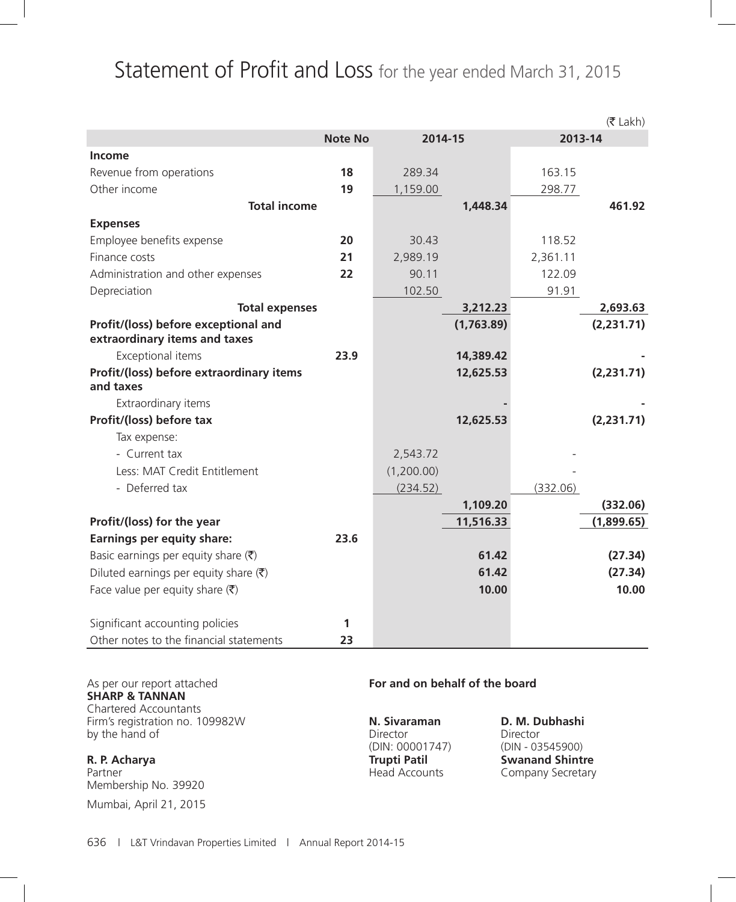# Statement of Profit and Loss for the year ended March 31, 2015

|                                                       |                |            |            |          | $(5$ Lakh) |
|-------------------------------------------------------|----------------|------------|------------|----------|------------|
|                                                       | <b>Note No</b> | 2014-15    |            | 2013-14  |            |
| Income                                                |                |            |            |          |            |
| Revenue from operations                               | 18             | 289.34     |            | 163.15   |            |
| Other income                                          | 19             | 1,159.00   |            | 298.77   |            |
| <b>Total income</b>                                   |                |            | 1,448.34   |          | 461.92     |
| <b>Expenses</b>                                       |                |            |            |          |            |
| Employee benefits expense                             | 20             | 30.43      |            | 118.52   |            |
| Finance costs                                         | 21             | 2,989.19   |            | 2,361.11 |            |
| Administration and other expenses                     | 22             | 90.11      |            | 122.09   |            |
| Depreciation                                          |                | 102.50     |            | 91.91    |            |
| <b>Total expenses</b>                                 |                |            | 3,212.23   |          | 2,693.63   |
| Profit/(loss) before exceptional and                  |                |            | (1,763.89) |          | (2,231.71) |
| extraordinary items and taxes                         |                |            |            |          |            |
| Exceptional items                                     | 23.9           |            | 14,389.42  |          |            |
| Profit/(loss) before extraordinary items<br>and taxes |                |            | 12,625.53  |          | (2,231.71) |
| Extraordinary items                                   |                |            |            |          |            |
| Profit/(loss) before tax                              |                |            | 12,625.53  |          | (2,231.71) |
| Tax expense:                                          |                |            |            |          |            |
| - Current tax                                         |                | 2,543.72   |            |          |            |
| Less: MAT Credit Entitlement                          |                | (1,200.00) |            |          |            |
| - Deferred tax                                        |                | (234.52)   |            | (332.06) |            |
|                                                       |                |            | 1,109.20   |          | (332.06)   |
| Profit/(loss) for the year                            |                |            | 11,516.33  |          | (1,899.65) |
| <b>Earnings per equity share:</b>                     | 23.6           |            |            |          |            |
| Basic earnings per equity share $(\bar{\zeta})$       |                |            | 61.42      |          | (27.34)    |
| Diluted earnings per equity share $(\bar{\zeta})$     |                |            | 61.42      |          | (27.34)    |
| Face value per equity share $(\bar{\zeta})$           |                |            | 10.00      |          | 10.00      |
| Significant accounting policies                       | 1              |            |            |          |            |
| Other notes to the financial statements               | 23             |            |            |          |            |
|                                                       |                |            |            |          |            |

**SHARP & TANNAN** Chartered Accountants Firm's registration no. 109982W **N. Sivaraman D. M. Dubhashi** by the hand of Director Director Director Director

Membership No. 39920

Mumbai, April 21, 2015

### As per our report attached **For and on behalf of the board**

(DIN: 00001747) (DIN - 03545900) **R. P. Acharya Trupti Patil Swanand Shintre**  Partner **Company Secretary Partner** Company Secretary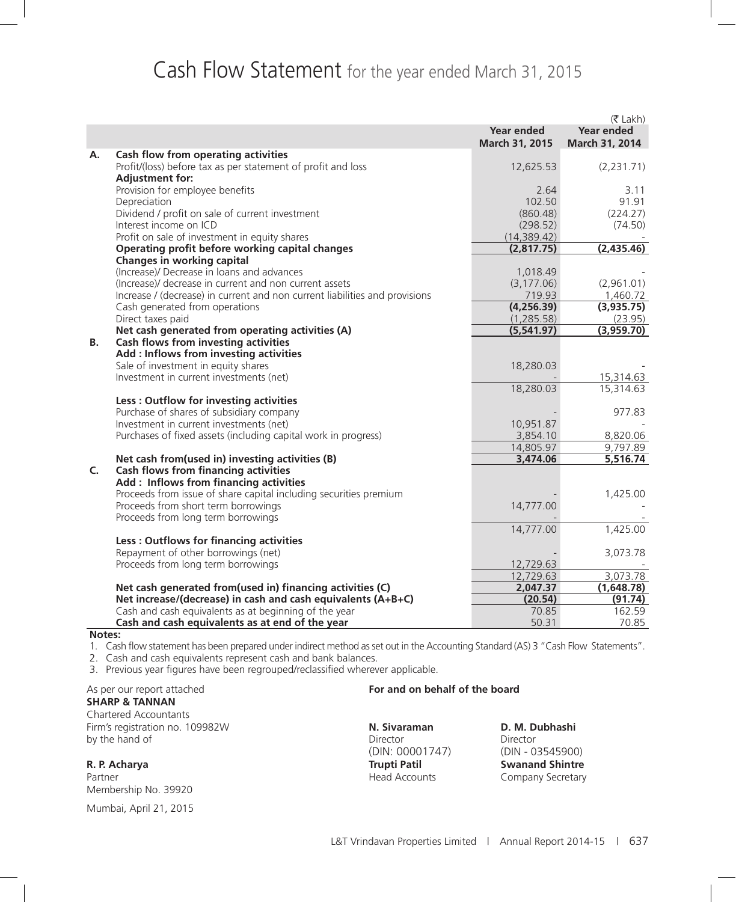# Cash Flow Statement for the year ended March 31, 2015

|           |                                                                                                                                       |                           | $(5$ Lakh)             |
|-----------|---------------------------------------------------------------------------------------------------------------------------------------|---------------------------|------------------------|
|           |                                                                                                                                       | <b>Year ended</b>         | <b>Year ended</b>      |
|           |                                                                                                                                       | March 31, 2015            | March 31, 2014         |
| A.        | Cash flow from operating activities                                                                                                   |                           |                        |
|           | Profit/(loss) before tax as per statement of profit and loss                                                                          | 12,625.53                 | (2, 231.71)            |
|           | <b>Adjustment for:</b>                                                                                                                |                           |                        |
|           | Provision for employee benefits                                                                                                       | 2.64                      | 3.11                   |
|           | Depreciation                                                                                                                          | 102.50                    | 91.91                  |
|           | Dividend / profit on sale of current investment                                                                                       | (860.48)                  | (224.27)               |
|           | Interest income on ICD                                                                                                                | (298.52)                  | (74.50)                |
|           | Profit on sale of investment in equity shares                                                                                         | (14, 389.42)              |                        |
|           | Operating profit before working capital changes                                                                                       | (2,817.75)                | (2,435.46)             |
|           | Changes in working capital                                                                                                            |                           |                        |
|           | (Increase)/ Decrease in loans and advances                                                                                            | 1,018.49                  |                        |
|           | (Increase)/ decrease in current and non current assets<br>Increase / (decrease) in current and non current liabilities and provisions | (3, 177.06)<br>719.93     | (2,961.01)<br>1,460.72 |
|           |                                                                                                                                       | (4, 256.39)               | (3,935.75)             |
|           | Cash generated from operations<br>Direct taxes paid                                                                                   |                           |                        |
|           | Net cash generated from operating activities (A)                                                                                      | (1, 285.58)<br>(5,541.97) | (23.95)<br>(3,959.70)  |
| <b>B.</b> | Cash flows from investing activities                                                                                                  |                           |                        |
|           | Add : Inflows from investing activities                                                                                               |                           |                        |
|           | Sale of investment in equity shares                                                                                                   | 18,280.03                 |                        |
|           | Investment in current investments (net)                                                                                               |                           | 15,314.63              |
|           |                                                                                                                                       | 18,280.03                 | 15,314.63              |
|           | Less: Outflow for investing activities                                                                                                |                           |                        |
|           | Purchase of shares of subsidiary company                                                                                              |                           | 977.83                 |
|           | Investment in current investments (net)                                                                                               | 10,951.87                 |                        |
|           | Purchases of fixed assets (including capital work in progress)                                                                        | 3,854.10                  | 8,820.06               |
|           |                                                                                                                                       | 14,805.97                 | 9,797.89               |
|           | Net cash from(used in) investing activities (B)                                                                                       | 3,474.06                  | 5,516.74               |
| C.        | <b>Cash flows from financing activities</b>                                                                                           |                           |                        |
|           | Add: Inflows from financing activities                                                                                                |                           |                        |
|           | Proceeds from issue of share capital including securities premium                                                                     |                           | 1,425.00               |
|           | Proceeds from short term borrowings                                                                                                   | 14,777.00                 |                        |
|           | Proceeds from long term borrowings                                                                                                    |                           |                        |
|           |                                                                                                                                       | 14,777.00                 | 1,425.00               |
|           | Less: Outflows for financing activities                                                                                               |                           |                        |
|           | Repayment of other borrowings (net)                                                                                                   |                           | 3,073.78               |
|           | Proceeds from long term borrowings                                                                                                    | 12,729.63                 |                        |
|           |                                                                                                                                       | 12,729.63                 | 3,073.78               |
|           | Net cash generated from(used in) financing activities (C)                                                                             | 2,047.37                  | (1,648.78)             |
|           | Net increase/(decrease) in cash and cash equivalents (A+B+C)                                                                          | (20.54)                   | (91.74)                |
|           | Cash and cash equivalents as at beginning of the year                                                                                 | 70.85                     | 162.59                 |
|           | Cash and cash equivalents as at end of the year                                                                                       | 50.31                     | 70.85                  |

#### **Notes:**

1. Cash flow statement has been prepared under indirect method as set out in the Accounting Standard (AS) 3 "Cash Flow Statements".

2. Cash and cash equivalents represent cash and bank balances.

3. Previous year figures have been regrouped/reclassified wherever applicable.

# **SHARP & TANNAN**

Chartered Accountants Firm's registration no. 109982W **N. Sivaraman D. M. Dubhashi** by the hand of Director Director Director Director Director Director Director

Partner **Accounts** Company Secretary **Partner** Company Secretary Membership No. 39920

Mumbai, April 21, 2015

#### As per our report attached **For and on behalf of the board**

(DIN: 00001747) (DIN - 03545900)

**R. P. Acharya Trupti Patil Swanand Shintre**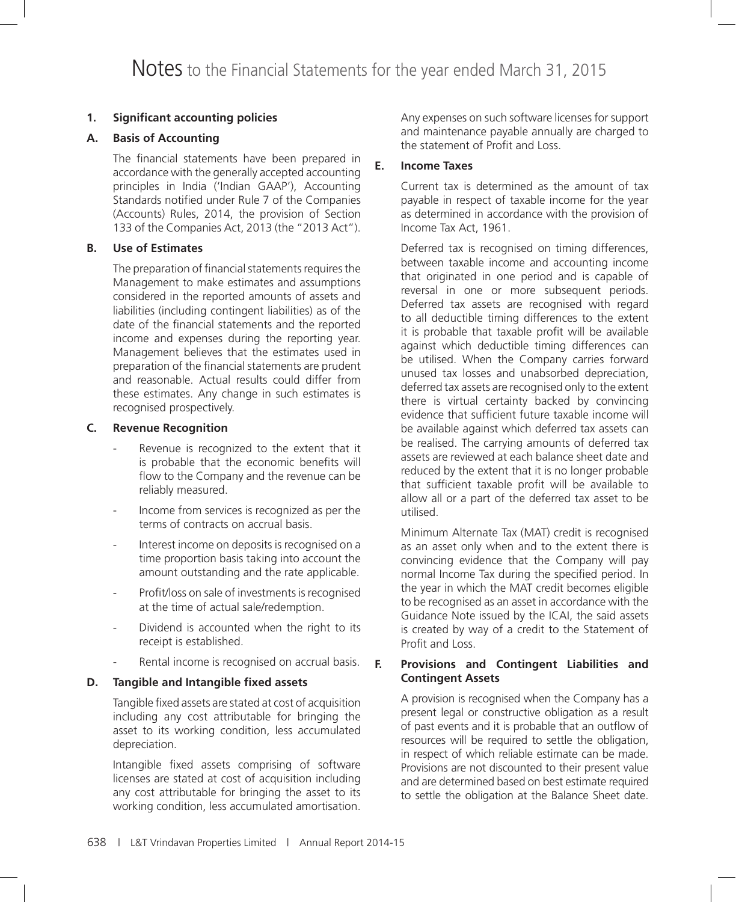# **1. Significant accounting policies**

# **A. Basis of Accounting**

 The financial statements have been prepared in accordance with the generally accepted accounting principles in India ('Indian GAAP'), Accounting Standards notified under Rule 7 of the Companies (Accounts) Rules, 2014, the provision of Section 133 of the Companies Act, 2013 (the "2013 Act").

# **B. Use of Estimates**

The preparation of financial statements requires the Management to make estimates and assumptions considered in the reported amounts of assets and liabilities (including contingent liabilities) as of the date of the financial statements and the reported income and expenses during the reporting year. Management believes that the estimates used in preparation of the financial statements are prudent and reasonable. Actual results could differ from these estimates. Any change in such estimates is recognised prospectively.

### **C. Revenue Recognition**

- Revenue is recognized to the extent that it is probable that the economic benefits will flow to the Company and the revenue can be reliably measured.
- Income from services is recognized as per the terms of contracts on accrual basis.
- Interest income on deposits is recognised on a time proportion basis taking into account the amount outstanding and the rate applicable.
- Profit/loss on sale of investments is recognised at the time of actual sale/redemption.
- Dividend is accounted when the right to its receipt is established.
- Rental income is recognised on accrual basis.

# **D. Tangible and Intangible fixed assets**

 Tangible fixed assets are stated at cost of acquisition including any cost attributable for bringing the asset to its working condition, less accumulated depreciation.

Intangible fixed assets comprising of software licenses are stated at cost of acquisition including any cost attributable for bringing the asset to its working condition, less accumulated amortisation. Any expenses on such software licenses for support and maintenance payable annually are charged to the statement of Profit and Loss.

#### **E. Income Taxes**

Current tax is determined as the amount of tax payable in respect of taxable income for the year as determined in accordance with the provision of Income Tax Act, 1961.

Deferred tax is recognised on timing differences, between taxable income and accounting income that originated in one period and is capable of reversal in one or more subsequent periods. Deferred tax assets are recognised with regard to all deductible timing differences to the extent it is probable that taxable profit will be available against which deductible timing differences can be utilised. When the Company carries forward unused tax losses and unabsorbed depreciation, deferred tax assets are recognised only to the extent there is virtual certainty backed by convincing evidence that sufficient future taxable income will be available against which deferred tax assets can be realised. The carrying amounts of deferred tax assets are reviewed at each balance sheet date and reduced by the extent that it is no longer probable that sufficient taxable profit will be available to allow all or a part of the deferred tax asset to be utilised.

Minimum Alternate Tax (MAT) credit is recognised as an asset only when and to the extent there is convincing evidence that the Company will pay normal Income Tax during the specified period. In the year in which the MAT credit becomes eligible to be recognised as an asset in accordance with the Guidance Note issued by the ICAI, the said assets is created by way of a credit to the Statement of Profit and Loss.

### **F. Provisions and Contingent Liabilities and Contingent Assets**

A provision is recognised when the Company has a present legal or constructive obligation as a result of past events and it is probable that an outflow of resources will be required to settle the obligation, in respect of which reliable estimate can be made. Provisions are not discounted to their present value and are determined based on best estimate required to settle the obligation at the Balance Sheet date.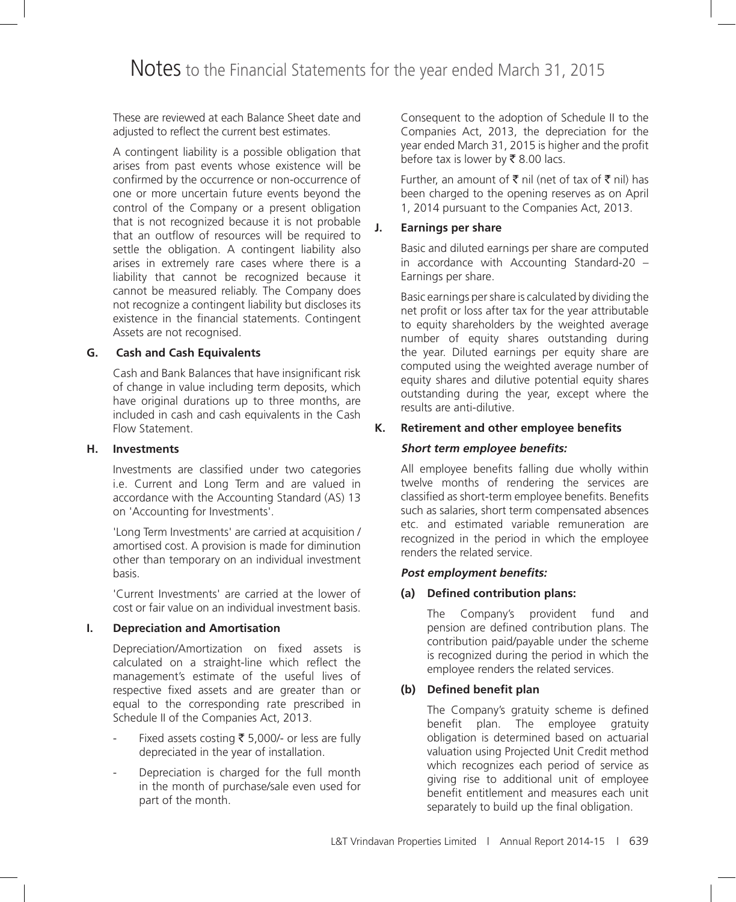These are reviewed at each Balance Sheet date and adjusted to reflect the current best estimates.

A contingent liability is a possible obligation that arises from past events whose existence will be confirmed by the occurrence or non-occurrence of one or more uncertain future events beyond the control of the Company or a present obligation that is not recognized because it is not probable that an outflow of resources will be required to settle the obligation. A contingent liability also arises in extremely rare cases where there is a liability that cannot be recognized because it cannot be measured reliably. The Company does not recognize a contingent liability but discloses its existence in the financial statements. Contingent Assets are not recognised.

# **G. Cash and Cash Equivalents**

Cash and Bank Balances that have insignificant risk of change in value including term deposits, which have original durations up to three months, are included in cash and cash equivalents in the Cash Flow Statement.

### **H. Investments**

Investments are classified under two categories i.e. Current and Long Term and are valued in accordance with the Accounting Standard (AS) 13 on 'Accounting for Investments'.

'Long Term Investments' are carried at acquisition / amortised cost. A provision is made for diminution other than temporary on an individual investment basis.

'Current Investments' are carried at the lower of cost or fair value on an individual investment basis.

# **I. Depreciation and Amortisation**

Depreciation/Amortization on fixed assets is calculated on a straight-line which reflect the management's estimate of the useful lives of respective fixed assets and are greater than or equal to the corresponding rate prescribed in Schedule II of the Companies Act, 2013.

- Fixed assets costing  $\overline{\xi}$  5,000/- or less are fully depreciated in the year of installation.
- Depreciation is charged for the full month in the month of purchase/sale even used for part of the month.

Consequent to the adoption of Schedule II to the Companies Act, 2013, the depreciation for the year ended March 31, 2015 is higher and the profit before tax is lower by  $\bar{\tau}$  8.00 lacs.

Further, an amount of  $\bar{\tau}$  nil (net of tax of  $\bar{\tau}$  nil) has been charged to the opening reserves as on April 1, 2014 pursuant to the Companies Act, 2013.

# **J. Earnings per share**

Basic and diluted earnings per share are computed in accordance with Accounting Standard-20 – Earnings per share.

Basic earnings per share is calculated by dividing the net profit or loss after tax for the year attributable to equity shareholders by the weighted average number of equity shares outstanding during the year. Diluted earnings per equity share are computed using the weighted average number of equity shares and dilutive potential equity shares outstanding during the year, except where the results are anti-dilutive.

# **K. Retirement and other employee benefits**

# **Short term employee benefits:**

All employee benefits falling due wholly within twelve months of rendering the services are classified as short-term employee benefits. Benefits such as salaries, short term compensated absences etc. and estimated variable remuneration are recognized in the period in which the employee renders the related service.

# **Post employment benefits:**

# **(a) Defined contribution plans:**

 The Company's provident fund and pension are defined contribution plans. The contribution paid/payable under the scheme is recognized during the period in which the employee renders the related services.

# **(b) Defined benefit plan**

 The Company's gratuity scheme is defined benefit plan. The employee gratuity obligation is determined based on actuarial valuation using Projected Unit Credit method which recognizes each period of service as giving rise to additional unit of employee benefit entitlement and measures each unit separately to build up the final obligation.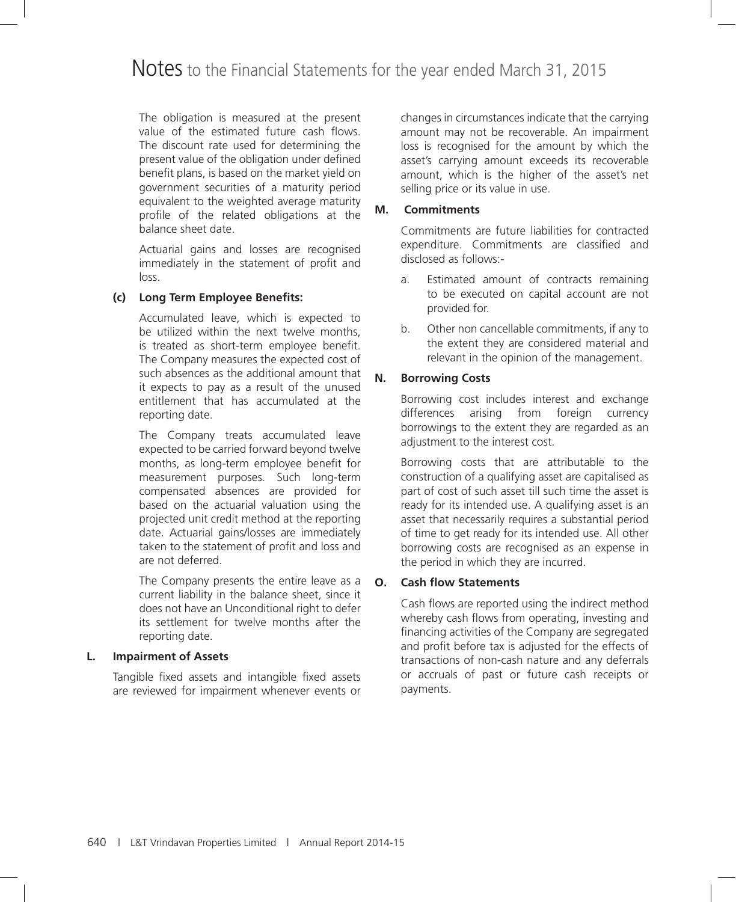The obligation is measured at the present value of the estimated future cash flows. The discount rate used for determining the present value of the obligation under defined benefit plans, is based on the market yield on government securities of a maturity period equivalent to the weighted average maturity profile of the related obligations at the balance sheet date.

 Actuarial gains and losses are recognised immediately in the statement of profit and loss.

# **(c) Long Term Employee Benefits:**

 Accumulated leave, which is expected to be utilized within the next twelve months, is treated as short-term employee benefit. The Company measures the expected cost of such absences as the additional amount that it expects to pay as a result of the unused entitlement that has accumulated at the reporting date.

 The Company treats accumulated leave expected to be carried forward beyond twelve months, as long-term employee benefit for measurement purposes. Such long-term compensated absences are provided for based on the actuarial valuation using the projected unit credit method at the reporting date. Actuarial gains/losses are immediately taken to the statement of profit and loss and are not deferred.

 The Company presents the entire leave as a current liability in the balance sheet, since it does not have an Unconditional right to defer its settlement for twelve months after the reporting date.

### **L. Impairment of Assets**

 Tangible fixed assets and intangible fixed assets are reviewed for impairment whenever events or changes in circumstances indicate that the carrying amount may not be recoverable. An impairment loss is recognised for the amount by which the asset's carrying amount exceeds its recoverable amount, which is the higher of the asset's net selling price or its value in use.

# **M. Commitments**

Commitments are future liabilities for contracted expenditure. Commitments are classified and disclosed as follows:-

- a. Estimated amount of contracts remaining to be executed on capital account are not provided for.
- b. Other non cancellable commitments, if any to the extent they are considered material and relevant in the opinion of the management.

# **N. Borrowing Costs**

Borrowing cost includes interest and exchange differences arising from foreign currency borrowings to the extent they are regarded as an adjustment to the interest cost.

Borrowing costs that are attributable to the construction of a qualifying asset are capitalised as part of cost of such asset till such time the asset is ready for its intended use. A qualifying asset is an asset that necessarily requires a substantial period of time to get ready for its intended use. All other borrowing costs are recognised as an expense in the period in which they are incurred.

# **O. Cash flow Statements**

Cash flows are reported using the indirect method whereby cash flows from operating, investing and financing activities of the Company are segregated and profit before tax is adjusted for the effects of transactions of non-cash nature and any deferrals or accruals of past or future cash receipts or payments.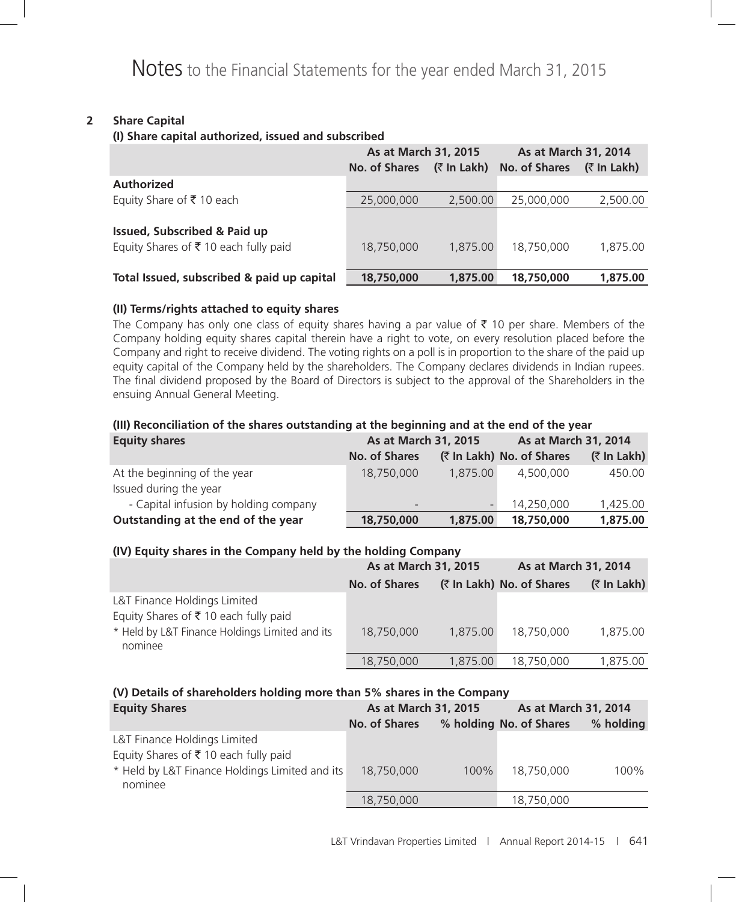# **2 Share Capital**

#### **(I) Share capital authorized, issued and subscribed**

|                                            | As at March 31, 2015<br><b>No. of Shares</b> | (₹ In Lakh) | As at March 31, 2014<br><b>No. of Shares</b> | $($ ₹ In Lakh) |
|--------------------------------------------|----------------------------------------------|-------------|----------------------------------------------|----------------|
| <b>Authorized</b>                          |                                              |             |                                              |                |
| Equity Share of ₹10 each                   | 25,000,000                                   | 2,500.00    | 25,000,000                                   | 2,500.00       |
| <b>Issued, Subscribed &amp; Paid up</b>    |                                              |             |                                              |                |
| Equity Shares of ₹10 each fully paid       | 18,750,000                                   | 1.875.00    | 18,750,000                                   | 1.875.00       |
| Total Issued, subscribed & paid up capital | 18,750,000                                   | 1,875.00    | 18,750,000                                   | 1,875.00       |

### **(II) Terms/rights attached to equity shares**

The Company has only one class of equity shares having a par value of  $\bar{\tau}$  10 per share. Members of the Company holding equity shares capital therein have a right to vote, on every resolution placed before the Company and right to receive dividend. The voting rights on a poll is in proportion to the share of the paid up equity capital of the Company held by the shareholders. The Company declares dividends in Indian rupees. The final dividend proposed by the Board of Directors is subject to the approval of the Shareholders in the ensuing Annual General Meeting.

# **(III) Reconciliation of the shares outstanding at the beginning and at the end of the year**

| <b>Equity shares</b>                                   | As at March 31, 2015     |          | As at March 31, 2014      |                |  |
|--------------------------------------------------------|--------------------------|----------|---------------------------|----------------|--|
|                                                        | No. of Shares            |          | (₹ In Lakh) No. of Shares | $($ ₹ In Lakh) |  |
| At the beginning of the year<br>Issued during the year | 18,750,000               | 1.875.00 | 4,500,000                 | 450.00         |  |
| - Capital infusion by holding company                  | $\overline{\phantom{a}}$ |          | 14,250,000                | 1,425.00       |  |
| Outstanding at the end of the year                     | 18,750,000               | 1,875.00 | 18,750,000                | 1,875.00       |  |

### **(IV) Equity shares in the Company held by the holding Company**

|                                                                                                                                   | As at March 31, 2015 |          | As at March 31, 2014      |             |  |
|-----------------------------------------------------------------------------------------------------------------------------------|----------------------|----------|---------------------------|-------------|--|
|                                                                                                                                   | No. of Shares        |          | (₹ In Lakh) No. of Shares | (₹ In Lakh) |  |
| L&T Finance Holdings Limited<br>Equity Shares of ₹10 each fully paid<br>* Held by L&T Finance Holdings Limited and its<br>nominee | 18,750,000           | 1,875.00 | 18,750,000                | 1,875.00    |  |
|                                                                                                                                   | 18,750,000           | 1,875.00 | 18,750,000                | 1,875.00    |  |

### **(V) Details of shareholders holding more than 5% shares in the Company**

| <b>Equity Shares</b>                           | As at March 31, 2015 |         | As at March 31, 2014    |           |
|------------------------------------------------|----------------------|---------|-------------------------|-----------|
|                                                | No. of Shares        |         | % holding No. of Shares | % holding |
| L&T Finance Holdings Limited                   |                      |         |                         |           |
| Equity Shares of ₹10 each fully paid           |                      |         |                         |           |
| * Held by L&T Finance Holdings Limited and its | 18,750,000           | $100\%$ | 18,750,000              | 100%      |
| nominee                                        |                      |         |                         |           |
|                                                | 18,750,000           |         | 18,750,000              |           |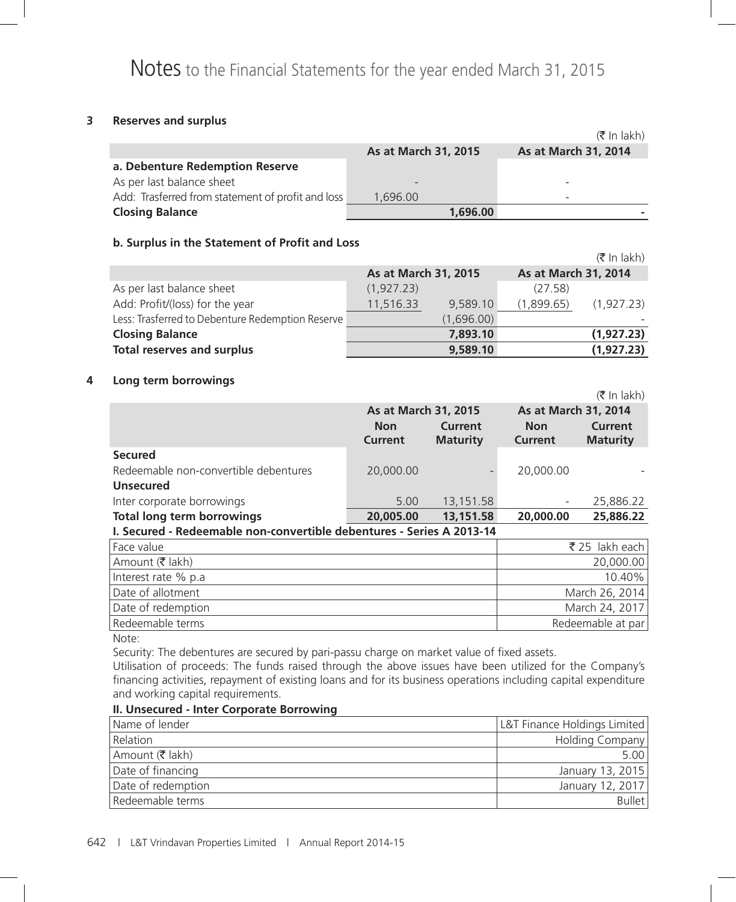### **3 Reserves and surplus**

|                                                   |                      | $(\bar{\bar{\mathbf{x}}}$ In lakh) |
|---------------------------------------------------|----------------------|------------------------------------|
|                                                   | As at March 31, 2015 | As at March 31, 2014               |
| a. Debenture Redemption Reserve                   |                      |                                    |
| As per last balance sheet                         |                      |                                    |
| Add: Trasferred from statement of profit and loss | 1.696.00             | $\overline{\phantom{a}}$           |
| <b>Closing Balance</b>                            | 1,696.00             |                                    |

### **b. Surplus in the Statement of Profit and Loss**

|                                                  |                      |            |                      | $(\bar{\bar{\mathbf{x}}}$ In lakh) |
|--------------------------------------------------|----------------------|------------|----------------------|------------------------------------|
|                                                  | As at March 31, 2015 |            | As at March 31, 2014 |                                    |
| As per last balance sheet                        | (1,927.23)           |            | (27.58)              |                                    |
| Add: Profit/(loss) for the year                  | 11,516.33            | 9,589.10   | (1,899.65)           | (1,927.23)                         |
| Less: Trasferred to Debenture Redemption Reserve |                      | (1,696.00) |                      |                                    |
| <b>Closing Balance</b>                           |                      | 7,893.10   |                      | (1,927.23)                         |
| <b>Total reserves and surplus</b>                |                      | 9,589.10   |                      | (1,927.23)                         |

#### **4 Long term borrowings**

|                                                                       |                              |                            |                              | $(5 \text{ In } \text{lakh})$ |  |
|-----------------------------------------------------------------------|------------------------------|----------------------------|------------------------------|-------------------------------|--|
|                                                                       |                              | As at March 31, 2015       |                              | As at March 31, 2014          |  |
|                                                                       | <b>Non</b><br><b>Current</b> | Current<br><b>Maturity</b> | <b>Non</b><br><b>Current</b> | Current<br><b>Maturity</b>    |  |
| <b>Secured</b>                                                        |                              |                            |                              |                               |  |
| Redeemable non-convertible debentures                                 | 20,000.00                    |                            | 20,000.00                    |                               |  |
| <b>Unsecured</b>                                                      |                              |                            |                              |                               |  |
| Inter corporate borrowings                                            | 5.00                         | 13,151.58                  |                              | 25,886.22                     |  |
| <b>Total long term borrowings</b>                                     | 20,005.00                    | 13,151.58                  | 20,000.00                    | 25,886.22                     |  |
| I. Secured - Redeemable non-convertible debentures - Series A 2013-14 |                              |                            |                              |                               |  |
| Face value                                                            |                              |                            |                              | ₹25 lakh each                 |  |
| Amount (₹ lakh)                                                       |                              |                            |                              | 20,000.00                     |  |
| Interest rate % p.a                                                   |                              |                            |                              | 10.40%                        |  |
| Date of allotment                                                     |                              |                            |                              | March 26, 2014                |  |
| Date of redemption                                                    |                              |                            |                              | March 24, 2017                |  |
| Redeemable terms                                                      |                              |                            |                              | Redeemable at par             |  |

Note:

Security: The debentures are secured by pari-passu charge on market value of fixed assets.

Utilisation of proceeds: The funds raised through the above issues have been utilized for the Company's financing activities, repayment of existing loans and for its business operations including capital expenditure and working capital requirements.

### **II. Unsecured - Inter Corporate Borrowing**

| Name of lender     | L&T Finance Holdings Limited |
|--------------------|------------------------------|
| Relation           | Holding Company              |
| Amount (₹ lakh)    | 5.00                         |
| Date of financing  | January 13, 2015             |
| Date of redemption | January 12, 2017             |
| Redeemable terms   | <b>Bullet</b>                |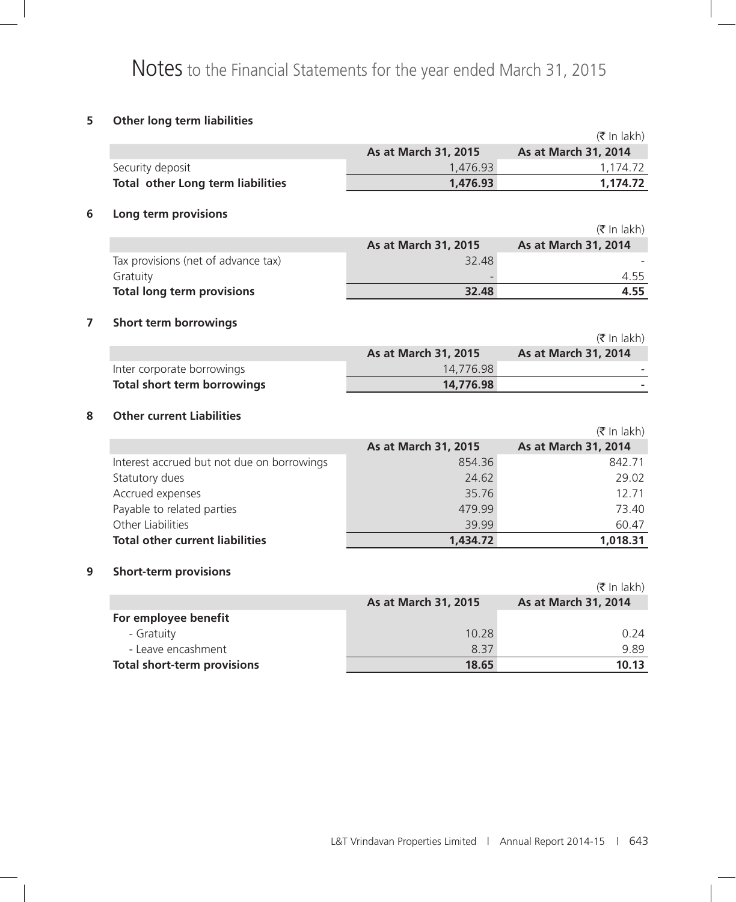# **5 Other long term liabilities**

|                                            |                      | $(\bar{\bar{\mathbf{x}}}$ In lakh)    |
|--------------------------------------------|----------------------|---------------------------------------|
|                                            | As at March 31, 2015 | As at March 31, 2014                  |
| Security deposit                           | 1,476.93             | 1,174.72                              |
| Total other Long term liabilities          | 1,476.93             | 1,174.72                              |
| Long term provisions                       |                      |                                       |
|                                            |                      | $(\bar{\bar{\mathbf{\tau}}}$ In lakh) |
|                                            | As at March 31, 2015 | As at March 31, 2014                  |
| Tax provisions (net of advance tax)        | 32.48                |                                       |
| Gratuity                                   |                      | 4.55                                  |
| <b>Total long term provisions</b>          | 32.48                | 4.55                                  |
| <b>Short term borrowings</b>               |                      |                                       |
|                                            |                      | $(\bar{\bar{\mathbf{\tau}}}$ In lakh) |
|                                            | As at March 31, 2015 | As at March 31, 2014                  |
| Inter corporate borrowings                 | 14,776.98            |                                       |
| <b>Total short term borrowings</b>         | 14,776.98            |                                       |
| 8<br><b>Other current Liabilities</b>      |                      |                                       |
|                                            |                      | $(\bar{\bar{\mathbf{\tau}}}$ In lakh) |
|                                            | As at March 31, 2015 | As at March 31, 2014                  |
| Interest accrued but not due on borrowings | 854.36               | 842.71                                |
| Statutory dues                             | 24.62                | 29.02                                 |
| Accrued expenses                           | 35.76                | 12.71                                 |
| Payable to related parties                 | 479.99               | 73.40                                 |
| Other Liabilities                          | 39.99                | 60.47                                 |
| <b>Total other current liabilities</b>     | 1,434.72             | 1,018.31                              |
| 9<br><b>Short-term provisions</b>          |                      |                                       |
|                                            |                      | $(\bar{\bar{\mathbf{\tau}}}$ In lakh) |
|                                            | As at March 31, 2015 | As at March 31, 2014                  |
| For employee benefit                       |                      |                                       |
| - Gratuity                                 | 10.28                | 0.24                                  |
| - Leave encashment                         | 8.37                 | 9.89                                  |
| <b>Total short-term provisions</b>         | 18.65                | 10.13                                 |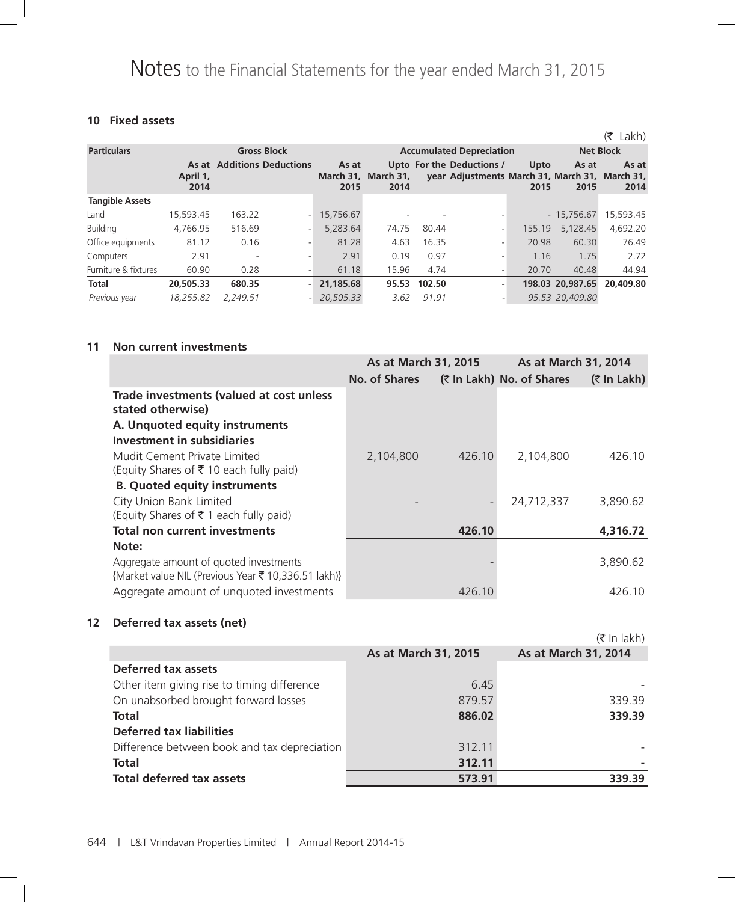# **10 Fixed assets**

|                        |                  |                                   |               |                             |        |                                                                             |              |                  | Lakh)<br>(₹      |
|------------------------|------------------|-----------------------------------|---------------|-----------------------------|--------|-----------------------------------------------------------------------------|--------------|------------------|------------------|
| <b>Particulars</b>     |                  | <b>Gross Block</b>                |               |                             |        | <b>Accumulated Depreciation</b>                                             |              |                  | <b>Net Block</b> |
|                        | April 1,<br>2014 | <b>As at Additions Deductions</b> | As at<br>2015 | March 31, March 31,<br>2014 |        | Upto For the Deductions /<br>year Adjustments March 31, March 31, March 31, | Upto<br>2015 | As at<br>2015    | As at<br>2014    |
| <b>Tangible Assets</b> |                  |                                   |               |                             |        |                                                                             |              |                  |                  |
| Land                   | 15,593.45        | 163.22<br>- 1                     | 15,756.67     |                             |        |                                                                             |              | $-15,756.67$     | 15,593.45        |
| <b>Building</b>        | 4,766.95         | 516.69                            | 5,283.64      | 74.75                       | 80.44  | $\overline{\phantom{0}}$                                                    | 155.19       | 5,128.45         | 4,692.20         |
| Office equipments      | 81.12            | 0.16                              | 81.28         | 4.63                        | 16.35  | ۰.                                                                          | 20.98        | 60.30            | 76.49            |
| Computers              | 2.91             |                                   | 2.91          | 0.19                        | 0.97   | ۰.                                                                          | 1.16         | 1.75             | 2.72             |
| Furniture & fixtures   | 60.90            | 0.28                              | 61.18         | 15.96                       | 4.74   | ۰.                                                                          | 20.70        | 40.48            | 44.94            |
| Total                  | 20,505.33        | 680.35                            | 21,185.68     | 95.53                       | 102.50 | ٠                                                                           |              | 198.03 20,987.65 | 20,409.80        |
| Previous year          | 18.255.82        | 2.249.51                          | 20.505.33     | 3.62                        | 91.91  | ٠                                                                           |              | 95.53 20.409.80  |                  |

#### **11 Non current investments**

|                                                                                               | <b>As at March 31, 2015</b> |        | As at March 31, 2014      |                |
|-----------------------------------------------------------------------------------------------|-----------------------------|--------|---------------------------|----------------|
|                                                                                               | <b>No. of Shares</b>        |        | (₹ In Lakh) No. of Shares | $($ ₹ In Lakh) |
| Trade investments (valued at cost unless<br>stated otherwise)                                 |                             |        |                           |                |
| A. Unquoted equity instruments                                                                |                             |        |                           |                |
| Investment in subsidiaries                                                                    |                             |        |                           |                |
| Mudit Cement Private Limited                                                                  | 2,104,800                   | 426.10 | 2,104,800                 | 426.10         |
| (Equity Shares of $\bar{\tau}$ 10 each fully paid)                                            |                             |        |                           |                |
| <b>B.</b> Quoted equity instruments                                                           |                             |        |                           |                |
| City Union Bank Limited                                                                       |                             |        | 24,712,337                | 3,890.62       |
| (Equity Shares of $\bar{\tau}$ 1 each fully paid)                                             |                             |        |                           |                |
| <b>Total non current investments</b>                                                          |                             | 426.10 |                           | 4,316.72       |
| Note:                                                                                         |                             |        |                           |                |
| Aggregate amount of quoted investments<br>{Market value NIL (Previous Year ₹ 10,336.51 lakh)} |                             |        |                           | 3,890.62       |
| Aggregate amount of unquoted investments                                                      |                             | 426.10 |                           | 426.10         |

# **12 Deferred tax assets (net)**

|                                              |                      | $(5 \text{ In } \text{lakh})$ |
|----------------------------------------------|----------------------|-------------------------------|
|                                              | As at March 31, 2015 | As at March 31, 2014          |
| <b>Deferred tax assets</b>                   |                      |                               |
| Other item giving rise to timing difference  | 6.45                 |                               |
| On unabsorbed brought forward losses         | 879.57               | 339.39                        |
| Total                                        | 886.02               | 339.39                        |
| <b>Deferred tax liabilities</b>              |                      |                               |
| Difference between book and tax depreciation | 312.11               |                               |
| Total                                        | 312.11               |                               |
| <b>Total deferred tax assets</b>             | 573.91               | 339.39                        |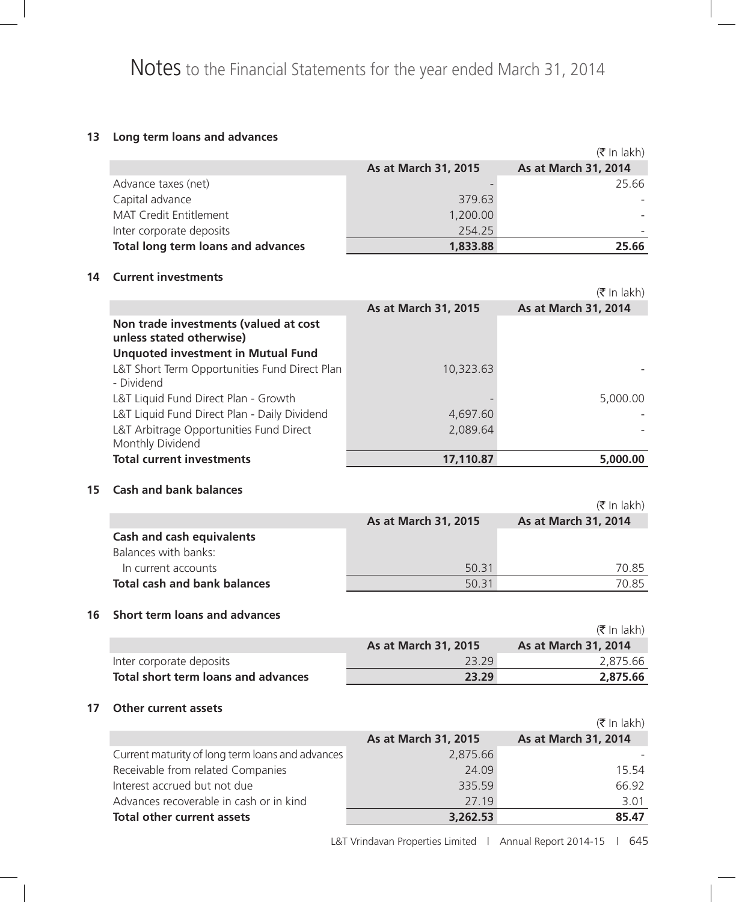# **13 Long term loans and advances**

|                                    |                      | $(5 \text{ In } \text{lakh})$ |
|------------------------------------|----------------------|-------------------------------|
|                                    | As at March 31, 2015 | As at March 31, 2014          |
| Advance taxes (net)                |                      | 25.66                         |
| Capital advance                    | 379.63               |                               |
| <b>MAT Credit Entitlement</b>      | 1,200.00             |                               |
| Inter corporate deposits           | 254.25               |                               |
| Total long term loans and advances | 1,833.88             | 25.66                         |

#### **14 Current investments**

|                                                                   |                      | (₹ In lakh)          |
|-------------------------------------------------------------------|----------------------|----------------------|
|                                                                   | As at March 31, 2015 | As at March 31, 2014 |
| Non trade investments (valued at cost<br>unless stated otherwise) |                      |                      |
| <b>Unquoted investment in Mutual Fund</b>                         |                      |                      |
| L&T Short Term Opportunities Fund Direct Plan<br>- Dividend       | 10,323.63            |                      |
| L&T Liquid Fund Direct Plan - Growth                              |                      | 5,000.00             |
| L&T Liquid Fund Direct Plan - Daily Dividend                      | 4,697.60             |                      |
| L&T Arbitrage Opportunities Fund Direct<br>Monthly Dividend       | 2,089.64             |                      |
| <b>Total current investments</b>                                  | 17,110.87            | 5,000,00             |

### **15 Cash and bank balances**

|                                     |                      | $(\bar{\bar{\mathbf{x}}}$ In lakh) |
|-------------------------------------|----------------------|------------------------------------|
|                                     | As at March 31, 2015 | As at March 31, 2014               |
| <b>Cash and cash equivalents</b>    |                      |                                    |
| Balances with banks:                |                      |                                    |
| In current accounts                 | 50.31                | 70.85                              |
| <b>Total cash and bank balances</b> | 50.31                | 70.85                              |

# **16 Short term loans and advances**

|                                     |                             | (₹ In lakh)                 |
|-------------------------------------|-----------------------------|-----------------------------|
|                                     | <b>As at March 31, 2015</b> | <b>As at March 31, 2014</b> |
| Inter corporate deposits            | 2329                        | 2.875.66                    |
| Total short term loans and advances | 23.29                       | 2,875.66                    |

#### **17 Other current assets**

|                                                  |                      | $(\bar{\bar{\mathbf{x}}}$ In lakh) |
|--------------------------------------------------|----------------------|------------------------------------|
|                                                  | As at March 31, 2015 | As at March 31, 2014               |
| Current maturity of long term loans and advances | 2,875.66             |                                    |
| Receivable from related Companies                | 24.09                | 15.54                              |
| Interest accrued but not due                     | 335.59               | 66.92                              |
| Advances recoverable in cash or in kind          | 27.19                | 3.01                               |
| Total other current assets                       | 3,262.53             | 85.47                              |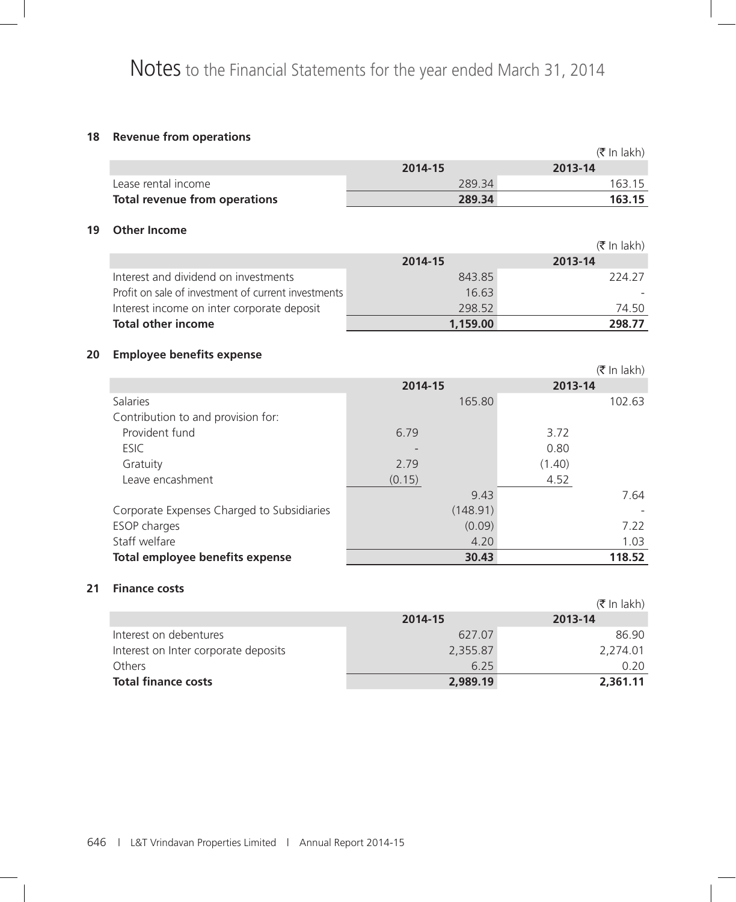# **18 Revenue from operations**

|    |                                                     |          | $(\bar{\bar{\mathbf{x}}}$ In lakh) |
|----|-----------------------------------------------------|----------|------------------------------------|
|    |                                                     | 2014-15  | 2013-14                            |
|    | Lease rental income                                 | 289.34   | 163.15                             |
|    | <b>Total revenue from operations</b>                | 289.34   | 163.15                             |
|    |                                                     |          |                                    |
| 19 | <b>Other Income</b>                                 |          |                                    |
|    |                                                     |          | $(\bar{\bar{\mathbf{x}}}$ In lakh) |
|    |                                                     | 2014-15  | 2013-14                            |
|    | Interest and dividend on investments                | 843.85   | 224.27                             |
|    | Profit on sale of investment of current investments | 16.63    |                                    |
|    | Interest income on inter corporate deposit          | 298.52   | 74.50                              |
|    | <b>Total other income</b>                           | 1,159.00 | 298.77                             |
|    |                                                     |          |                                    |
| 20 | <b>Employee benefits expense</b>                    |          |                                    |
|    |                                                     |          | $(\bar{\bar{\mathbf{x}}}$ In lakh) |
|    |                                                     | 2014-15  | 2013-14                            |
|    | Salaries                                            | 165.80   | 102.63                             |
|    | Contribution to and provision for:                  |          |                                    |
|    | Provident fund                                      | 6.79     | 3.72                               |
|    | <b>ESIC</b>                                         |          | 0.80                               |
|    | Gratuity                                            | 2.79     | (1.40)                             |
|    | Leave encashment                                    | (0.15)   | 4.52                               |
|    |                                                     | 9.43     | 7.64                               |
|    | Corporate Expenses Charged to Subsidiaries          | (148.91) |                                    |
|    | ESOP charges                                        | (0.09)   | 7.22                               |
|    | Staff welfare                                       | 4.20     | 1.03                               |
|    | Total employee benefits expense                     | 30.43    | 118.52                             |
|    |                                                     |          |                                    |

# **21 Finance costs**

|                                      |          | $(\bar{\bar{\mathbf{x}}}$ In lakh) |
|--------------------------------------|----------|------------------------------------|
|                                      | 2014-15  | 2013-14                            |
| Interest on debentures               | 627.07   | 86.90                              |
| Interest on Inter corporate deposits | 2,355.87 | 2,274.01                           |
| Others                               | 6.25     | 0.20                               |
| <b>Total finance costs</b>           | 2,989.19 | 2,361.11                           |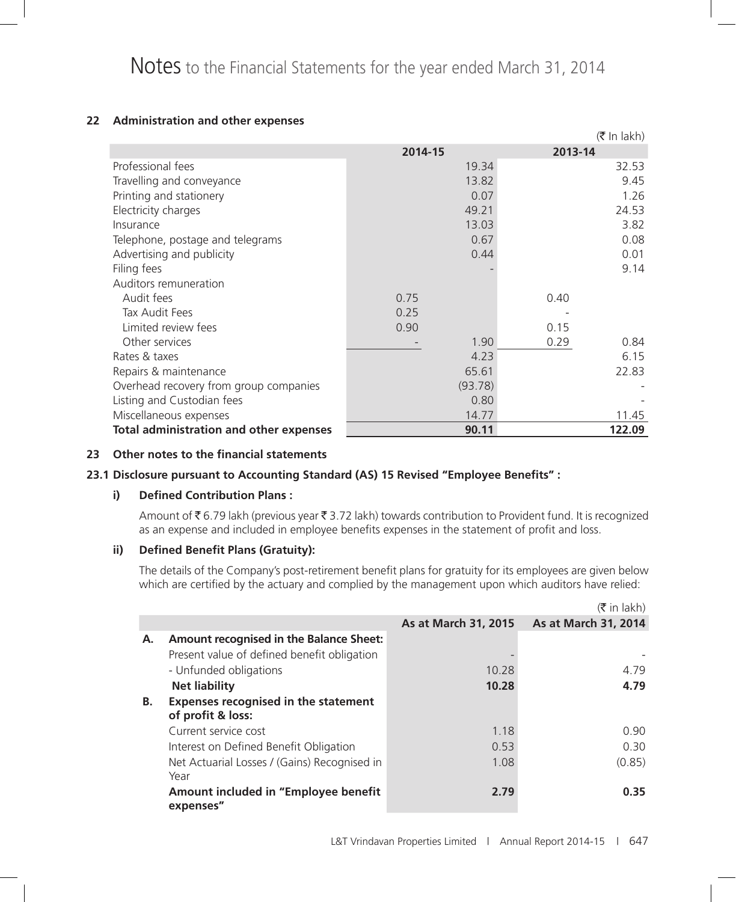### **22 Administration and other expenses**

|                                                |         | $(\bar{\bar{\mathbf{x}}}$ In lakh) |
|------------------------------------------------|---------|------------------------------------|
|                                                | 2014-15 | 2013-14                            |
| Professional fees                              | 19.34   | 32.53                              |
| Travelling and conveyance                      | 13.82   | 9.45                               |
| Printing and stationery                        | 0.07    | 1.26                               |
| Electricity charges                            | 49.21   | 24.53                              |
| Insurance                                      | 13.03   | 3.82                               |
| Telephone, postage and telegrams               | 0.67    | 0.08                               |
| Advertising and publicity                      | 0.44    | 0.01                               |
| Filing fees                                    |         | 9.14                               |
| Auditors remuneration                          |         |                                    |
| Audit fees                                     | 0.75    | 0.40                               |
| Tax Audit Fees                                 | 0.25    |                                    |
| Limited review fees                            | 0.90    | 0.15                               |
| Other services                                 | 1.90    | 0.29<br>0.84                       |
| Rates & taxes                                  | 4.23    | 6.15                               |
| Repairs & maintenance                          | 65.61   | 22.83                              |
| Overhead recovery from group companies         | (93.78) |                                    |
| Listing and Custodian fees                     | 0.80    |                                    |
| Miscellaneous expenses                         | 14.77   | 11.45                              |
| <b>Total administration and other expenses</b> | 90.11   | 122.09                             |

#### **23 Other notes to the financial statements**

### **23.1 Disclosure pursuant to Accounting Standard (AS) 15 Revised "Employee Benefits" :**

#### **i) Defined Contribution Plans :**

Amount of  $\bar{\tau}$  6.79 lakh (previous year  $\bar{\tau}$  3.72 lakh) towards contribution to Provident fund. It is recognized as an expense and included in employee benefits expenses in the statement of profit and loss.

#### **ii) Defined Benefit Plans (Gratuity):**

 The details of the Company's post-retirement benefit plans for gratuity for its employees are given below which are certified by the actuary and complied by the management upon which auditors have relied:

|    |                                                   |                      | $(\bar{\bar{\mathbf{x}}}$ in lakh) |
|----|---------------------------------------------------|----------------------|------------------------------------|
|    |                                                   | As at March 31, 2015 | As at March 31, 2014               |
| А. | Amount recognised in the Balance Sheet:           |                      |                                    |
|    | Present value of defined benefit obligation       |                      |                                    |
|    | - Unfunded obligations                            | 10.28                | 4.79                               |
|    | <b>Net liability</b>                              | 10.28                | 4.79                               |
| В. | <b>Expenses recognised in the statement</b>       |                      |                                    |
|    | of profit & loss:                                 |                      |                                    |
|    | Current service cost                              | 1.18                 | 0.90                               |
|    | Interest on Defined Benefit Obligation            | 0.53                 | 0.30                               |
|    | Net Actuarial Losses / (Gains) Recognised in      | 1.08                 | (0.85)                             |
|    | Year                                              |                      |                                    |
|    | Amount included in "Employee benefit<br>expenses" | 2.79                 | 0.35                               |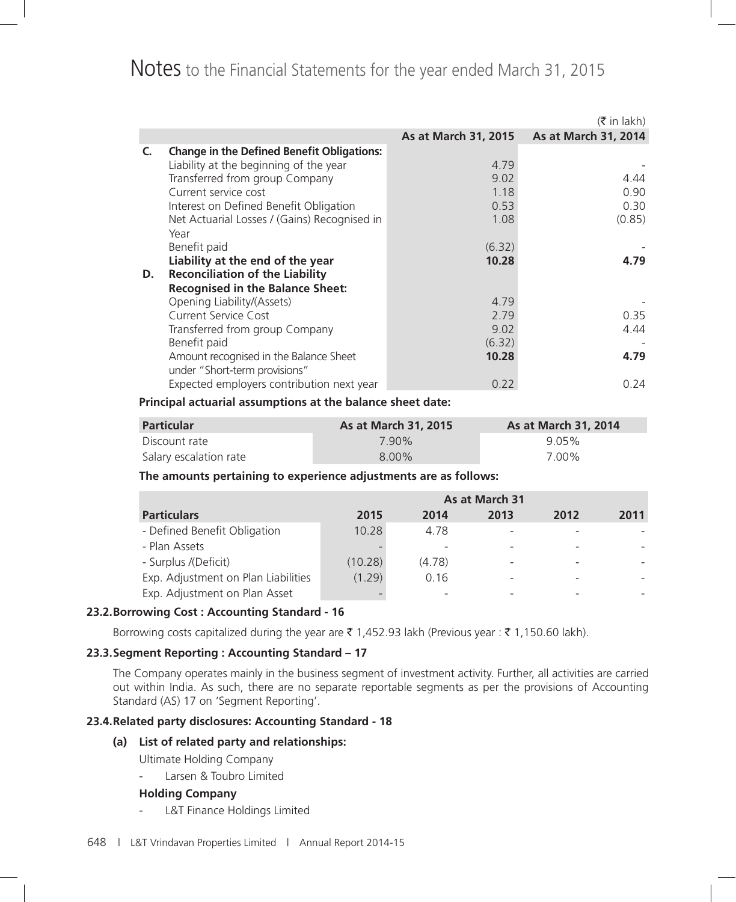# Notes to the Financial Statements for the year ended March 31, 2015

|    |                                                                         |                      | $(\bar{\bar{\mathbf{x}}}$ in lakh) |
|----|-------------------------------------------------------------------------|----------------------|------------------------------------|
|    |                                                                         | As at March 31, 2015 | As at March 31, 2014               |
| C. | <b>Change in the Defined Benefit Obligations:</b>                       |                      |                                    |
|    | Liability at the beginning of the year                                  | 4.79                 |                                    |
|    | Transferred from group Company                                          | 9.02                 | 4.44                               |
|    | Current service cost                                                    | 1.18                 | 0.90                               |
|    | Interest on Defined Benefit Obligation                                  | 0.53                 | 0.30                               |
|    | Net Actuarial Losses / (Gains) Recognised in                            | 1.08                 | (0.85)                             |
|    | Year                                                                    |                      |                                    |
|    | Benefit paid                                                            | (6.32)               |                                    |
|    | Liability at the end of the year                                        | 10.28                | 4.79                               |
| D. | <b>Reconciliation of the Liability</b>                                  |                      |                                    |
|    | <b>Recognised in the Balance Sheet:</b>                                 |                      |                                    |
|    | Opening Liability/(Assets)                                              | 4.79                 |                                    |
|    | Current Service Cost                                                    | 2.79                 | 0.35                               |
|    | Transferred from group Company                                          | 9.02                 | 4.44                               |
|    | Benefit paid                                                            | (6.32)               |                                    |
|    | Amount recognised in the Balance Sheet<br>under "Short-term provisions" | 10.28                | 4.79                               |
|    | Expected employers contribution next year                               | 0.22                 | 0.24                               |

#### **Principal actuarial assumptions at the balance sheet date:**

| <b>Particular</b>      | <b>As at March 31, 2015</b> | <b>As at March 31, 2014</b> |  |
|------------------------|-----------------------------|-----------------------------|--|
| Discount rate          | 7.90%                       | 9.05%                       |  |
| Salary escalation rate | $8.00\%$                    | 7.00%                       |  |

#### **The amounts pertaining to experience adjustments are as follows:**

|                                     | As at March 31 |        |      |      |      |
|-------------------------------------|----------------|--------|------|------|------|
| <b>Particulars</b>                  | 2015           | 2014   | 2013 | 2012 | 2011 |
| - Defined Benefit Obligation        | 10.28          | 4.78   |      |      |      |
| - Plan Assets                       |                |        |      |      |      |
| - Surplus /(Deficit)                | (10.28)        | (4.78) |      |      |      |
| Exp. Adjustment on Plan Liabilities | (1.29)         | 0.16   |      |      |      |
| Exp. Adjustment on Plan Asset       |                |        |      |      |      |

### **23.2.Borrowing Cost : Accounting Standard - 16**

Borrowing costs capitalized during the year are  $\bar{\xi}$  1,452.93 lakh (Previous year :  $\bar{\xi}$  1,150.60 lakh).

### **23.3.Segment Reporting : Accounting Standard – 17**

 The Company operates mainly in the business segment of investment activity. Further, all activities are carried out within India. As such, there are no separate reportable segments as per the provisions of Accounting Standard (AS) 17 on 'Segment Reporting'.

#### **23.4.Related party disclosures: Accounting Standard - 18**

#### **(a) List of related party and relationships:**

Ultimate Holding Company

- Larsen & Toubro Limited

#### **Holding Company**

- L&T Finance Holdings Limited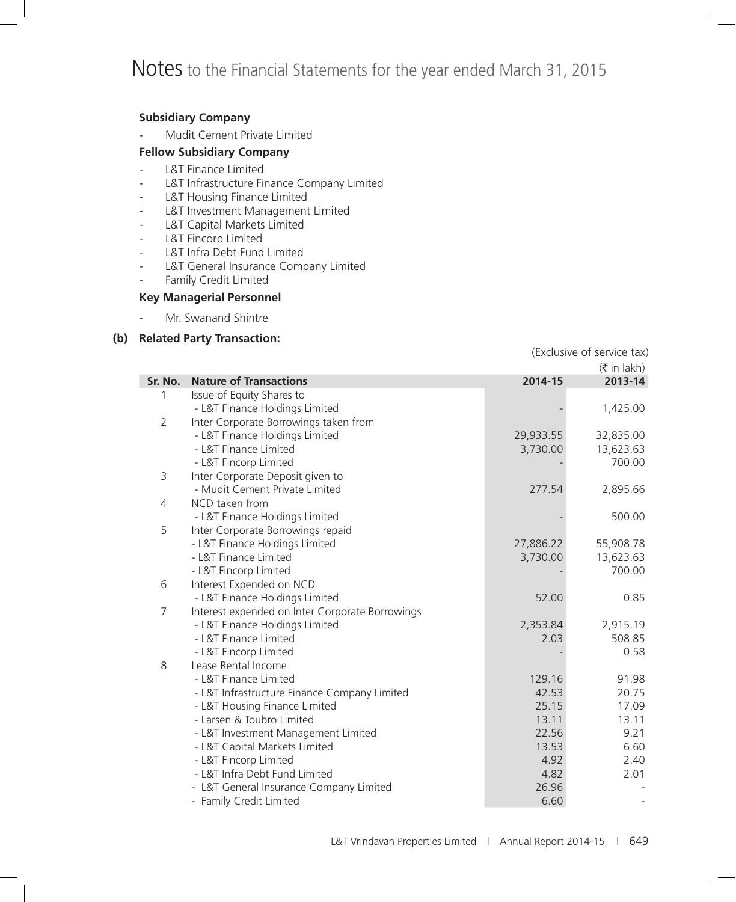# **Subsidiary Company**

Mudit Cement Private Limited

### **Fellow Subsidiary Company**

- L&T Finance Limited
- L&T Infrastructure Finance Company Limited
- L&T Housing Finance Limited
- L&T Investment Management Limited
- L&T Capital Markets Limited
- L&T Fincorp Limited
- L&T Infra Debt Fund Limited
- L&T General Insurance Company Limited
- Family Credit Limited

### **Key Managerial Personnel**

- Mr. Swanand Shintre

### **(b) Related Party Transaction:**

(Exclusive of service tax)

|         |                                                 |           | $(\bar{\bar{\mathbf{x}}}$ in lakh) |
|---------|-------------------------------------------------|-----------|------------------------------------|
| Sr. No. | <b>Nature of Transactions</b>                   | 2014-15   | 2013-14                            |
| 1       | Issue of Equity Shares to                       |           |                                    |
|         | - L&T Finance Holdings Limited                  |           | 1,425.00                           |
| 2       | Inter Corporate Borrowings taken from           |           |                                    |
|         | - L&T Finance Holdings Limited                  | 29,933.55 | 32,835.00                          |
|         | - L&T Finance Limited                           | 3,730.00  | 13,623.63                          |
|         | - L&T Fincorp Limited                           |           | 700.00                             |
| 3       | Inter Corporate Deposit given to                |           |                                    |
|         | - Mudit Cement Private Limited                  | 277.54    | 2,895.66                           |
| 4       | NCD taken from                                  |           |                                    |
|         | - L&T Finance Holdings Limited                  |           | 500.00                             |
| 5       | Inter Corporate Borrowings repaid               |           |                                    |
|         | - L&T Finance Holdings Limited                  | 27,886.22 | 55,908.78                          |
|         | - L&T Finance Limited                           | 3,730.00  | 13,623.63                          |
|         | - L&T Fincorp Limited                           |           | 700.00                             |
| 6       | Interest Expended on NCD                        |           |                                    |
|         | - L&T Finance Holdings Limited                  | 52.00     | 0.85                               |
| 7       | Interest expended on Inter Corporate Borrowings |           |                                    |
|         | - L&T Finance Holdings Limited                  | 2,353.84  | 2,915.19                           |
|         | - L&T Finance Limited                           | 2.03      | 508.85                             |
|         | - L&T Fincorp Limited                           |           | 0.58                               |
| 8       | Lease Rental Income                             |           |                                    |
|         | - L&T Finance Limited                           | 129.16    | 91.98                              |
|         | - L&T Infrastructure Finance Company Limited    | 42.53     | 20.75                              |
|         | - L&T Housing Finance Limited                   | 25.15     | 17.09                              |
|         | - Larsen & Toubro Limited                       | 13.11     | 13.11                              |
|         | - L&T Investment Management Limited             | 22.56     | 9.21                               |
|         | - L&T Capital Markets Limited                   | 13.53     | 6.60                               |
|         | - L&T Fincorp Limited                           | 4.92      | 2.40                               |
|         | - L&T Infra Debt Fund Limited                   | 4.82      | 2.01                               |
|         | - L&T General Insurance Company Limited         | 26.96     |                                    |
|         | - Family Credit Limited                         | 6.60      |                                    |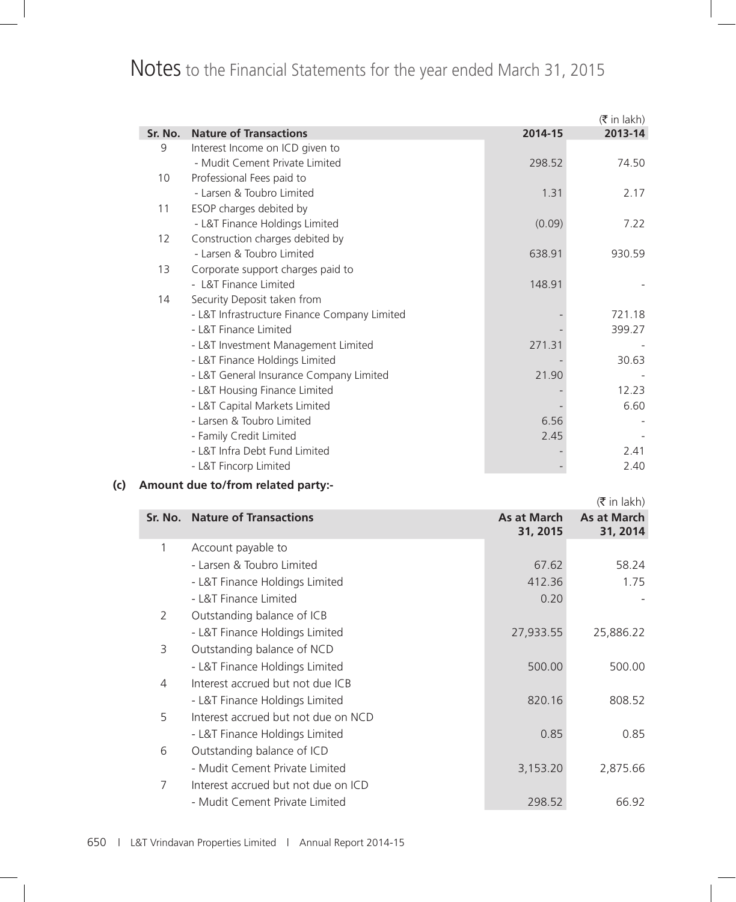# Notes to the Financial Statements for the year ended March 31, 2015

|         |                                              |         | $(\bar{\bar{\mathbf{x}}}$ in lakh) |
|---------|----------------------------------------------|---------|------------------------------------|
| Sr. No. | <b>Nature of Transactions</b>                | 2014-15 | 2013-14                            |
| 9       | Interest Income on ICD given to              |         |                                    |
|         | - Mudit Cement Private Limited               | 298.52  | 74.50                              |
| 10      | Professional Fees paid to                    |         |                                    |
|         | - Larsen & Toubro Limited                    | 1.31    | 2.17                               |
| 11      | ESOP charges debited by                      |         |                                    |
|         | - L&T Finance Holdings Limited               | (0.09)  | 7.22                               |
| 12      | Construction charges debited by              |         |                                    |
|         | - Larsen & Toubro Limited                    | 638.91  | 930.59                             |
| 13      | Corporate support charges paid to            |         |                                    |
|         | - L&T Finance Limited                        | 148.91  |                                    |
| 14      | Security Deposit taken from                  |         |                                    |
|         | - L&T Infrastructure Finance Company Limited |         | 721.18                             |
|         | - L&T Finance Limited                        |         | 399.27                             |
|         | - L&T Investment Management Limited          | 271.31  |                                    |
|         | - L&T Finance Holdings Limited               |         | 30.63                              |
|         | - L&T General Insurance Company Limited      | 21.90   |                                    |
|         | - L&T Housing Finance Limited                |         | 12.23                              |
|         | - L&T Capital Markets Limited                |         | 6.60                               |
|         | - Larsen & Toubro Limited                    | 6.56    |                                    |
|         | - Family Credit Limited                      | 2.45    |                                    |
|         | - L&T Infra Debt Fund Limited                |         | 2.41                               |
|         | - L&T Fincorp Limited                        |         | 2.40                               |

# **(c) Amount due to/from related party:-**

 $(\bar{\bar{\mathbf{\tau}}}$  in lakh) **Sr. No.** Nature of Transactions **As at March As at March 31, 2015 As at March 31, 2014** 1 Account payable to - Larsen & Toubro Limited 67.62 58.24 - L&T Finance Holdings Limited 412.36 412.36 1.75 - L&T Finance Limited **1.20 - 1.20 - 1.20 - 1.20 - 1.20 - 1.20 - 1.20 - 1.20 - 1.20 - 1.20 - 1.20 - 1.20 - 1.20 - 1.20 - 1.20 - 1.20 - 1.20 - 1.20 - 1.20 - 1.20 - 1.20 - 1.20 - 1.20 - 1.20 - 1.20 - 1.20 - 1.20 - 1.20 - 1.2** 2 Outstanding balance of ICB - L&T Finance Holdings Limited 27,933.55 25,886.22 3 Outstanding balance of NCD - L&T Finance Holdings Limited 500.00 500.00 4 Interest accrued but not due ICB - L&T Finance Holdings Limited 820.16 808.52 5 Interest accrued but not due on NCD - L&T Finance Holdings Limited 0.85 0.85 6 Outstanding balance of ICD - Mudit Cement Private Limited 3,153.20 2,875.66 7 Interest accrued but not due on ICD - Mudit Cement Private Limited 298.52 66.92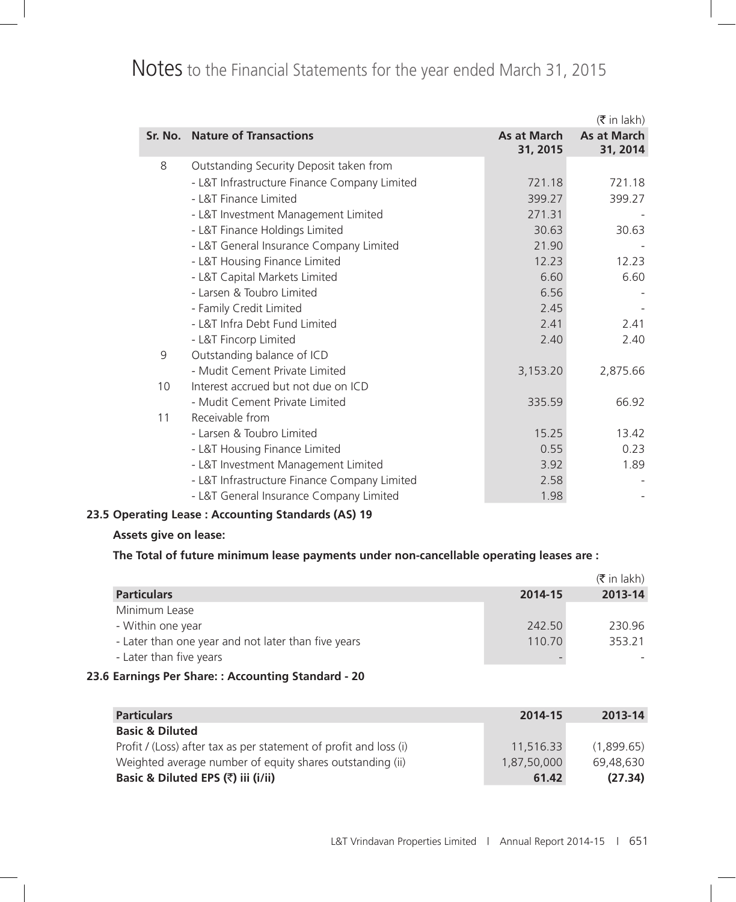# Notes to the Financial Statements for the year ended March 31, 2015

|    |                                              |                         | $(\bar{\bar{\mathbf{x}}}$ in lakh) |
|----|----------------------------------------------|-------------------------|------------------------------------|
|    | Sr. No. Nature of Transactions               | As at March<br>31, 2015 | As at March<br>31, 2014            |
| 8  | Outstanding Security Deposit taken from      |                         |                                    |
|    | - L&T Infrastructure Finance Company Limited | 721.18                  | 721.18                             |
|    | - L&T Finance Limited                        | 399.27                  | 399.27                             |
|    | - L&T Investment Management Limited          | 271.31                  |                                    |
|    | - L&T Finance Holdings Limited               | 30.63                   | 30.63                              |
|    | - L&T General Insurance Company Limited      | 21.90                   |                                    |
|    | - L&T Housing Finance Limited                | 12.23                   | 12.23                              |
|    | - L&T Capital Markets Limited                | 6.60                    | 6.60                               |
|    | - Larsen & Toubro Limited                    | 6.56                    |                                    |
|    | - Family Credit Limited                      | 2.45                    |                                    |
|    | - L&T Infra Debt Fund Limited                | 2.41                    | 2.41                               |
|    | - L&T Fincorp Limited                        | 2.40                    | 2.40                               |
| 9  | Outstanding balance of ICD                   |                         |                                    |
|    | - Mudit Cement Private Limited               | 3,153.20                | 2,875.66                           |
| 10 | Interest accrued but not due on ICD          |                         |                                    |
|    | - Mudit Cement Private Limited               | 335.59                  | 66.92                              |
| 11 | Receivable from                              |                         |                                    |
|    | - Larsen & Toubro Limited                    | 15.25                   | 13.42                              |
|    | - L&T Housing Finance Limited                | 0.55                    | 0.23                               |
|    | - L&T Investment Management Limited          | 3.92                    | 1.89                               |
|    | - L&T Infrastructure Finance Company Limited | 2.58                    |                                    |
|    | - L&T General Insurance Company Limited      | 1.98                    |                                    |

# **23.5 Operating Lease : Accounting Standards (AS) 19**

#### **Assets give on lease:**

**The Total of future minimum lease payments under non-cancellable operating leases are :**

|                                                     |         | $(\bar{\bar{\mathbf{x}}}$ in lakh) |
|-----------------------------------------------------|---------|------------------------------------|
| <b>Particulars</b>                                  | 2014-15 | 2013-14                            |
| Minimum Lease                                       |         |                                    |
| - Within one year                                   | 242.50  | 230.96                             |
| - Later than one year and not later than five years | 110.70  | 353.21                             |
| - Later than five years                             | -       |                                    |

# **23.6 Earnings Per Share: : Accounting Standard - 20**

| <b>Particulars</b>                                                | 2014-15     | 2013-14    |
|-------------------------------------------------------------------|-------------|------------|
| <b>Basic &amp; Diluted</b>                                        |             |            |
| Profit / (Loss) after tax as per statement of profit and loss (i) | 11.516.33   | (1.899.65) |
| Weighted average number of equity shares outstanding (ii)         | 1.87.50.000 | 69.48.630  |
| Basic & Diluted EPS (₹) iii (i/ii)                                | 61.42       | (27.34)    |